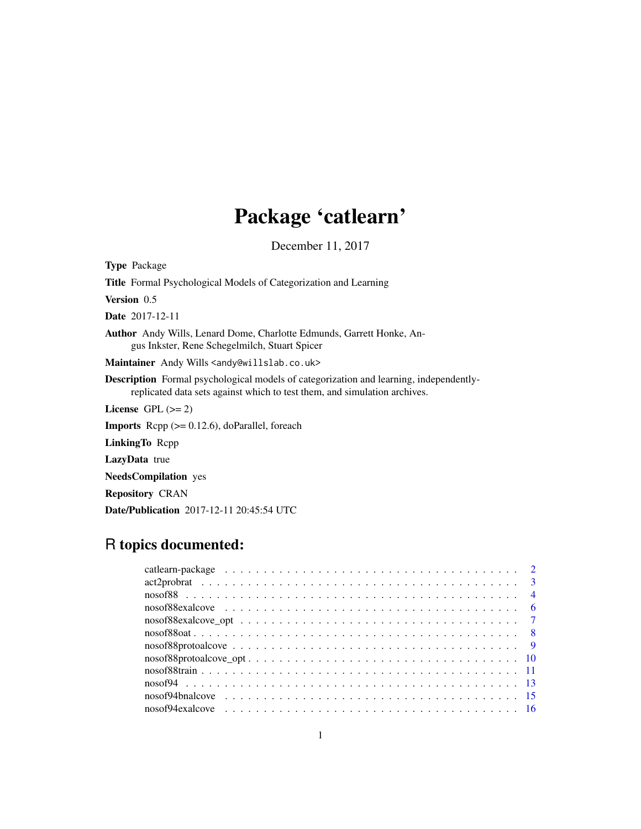# Package 'catlearn'

December 11, 2017

<span id="page-0-0"></span>Type Package Title Formal Psychological Models of Categorization and Learning Version 0.5 Date 2017-12-11 Author Andy Wills, Lenard Dome, Charlotte Edmunds, Garrett Honke, Angus Inkster, Rene Schegelmilch, Stuart Spicer Maintainer Andy Wills <andy@willslab.co.uk> Description Formal psychological models of categorization and learning, independentlyreplicated data sets against which to test them, and simulation archives. License GPL  $(>= 2)$ Imports Rcpp (>= 0.12.6), doParallel, foreach LinkingTo Rcpp LazyData true NeedsCompilation yes Repository CRAN

# Date/Publication 2017-12-11 20:45:54 UTC

# R topics documented: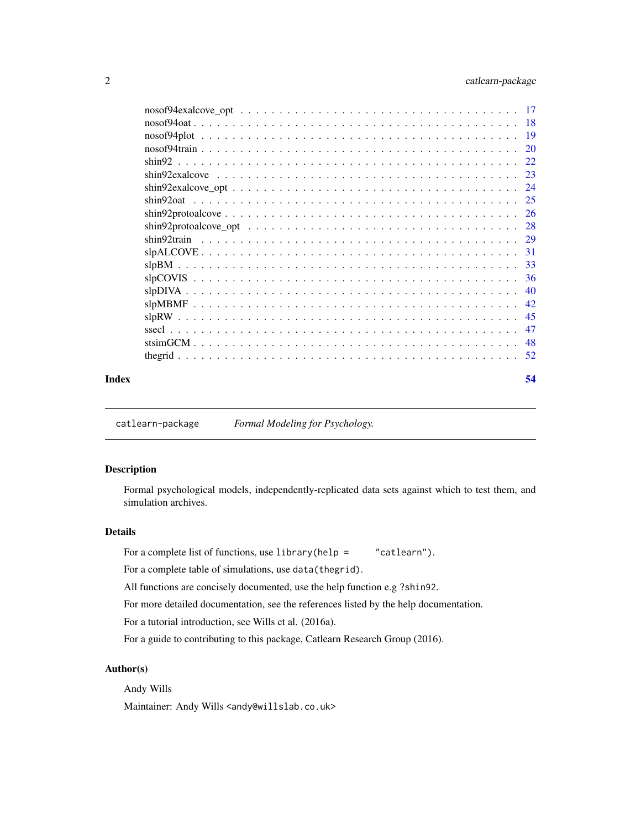<span id="page-1-0"></span>

|       | 20 |
|-------|----|
|       |    |
|       |    |
|       |    |
|       |    |
|       |    |
|       |    |
|       |    |
|       |    |
|       |    |
|       |    |
|       | 40 |
|       | 42 |
|       | 45 |
|       | 47 |
|       | 48 |
|       |    |
| Index | 54 |

catlearn-package *Formal Modeling for Psychology.*

# Description

Formal psychological models, independently-replicated data sets against which to test them, and simulation archives.

# Details

For a complete list of functions, use library(help = "catlearn").

For a complete table of simulations, use data(thegrid).

All functions are concisely documented, use the help function e.g ?shin92.

For more detailed documentation, see the references listed by the help documentation.

For a tutorial introduction, see Wills et al. (2016a).

For a guide to contributing to this package, Catlearn Research Group (2016).

#### Author(s)

Andy Wills

Maintainer: Andy Wills <andy@willslab.co.uk>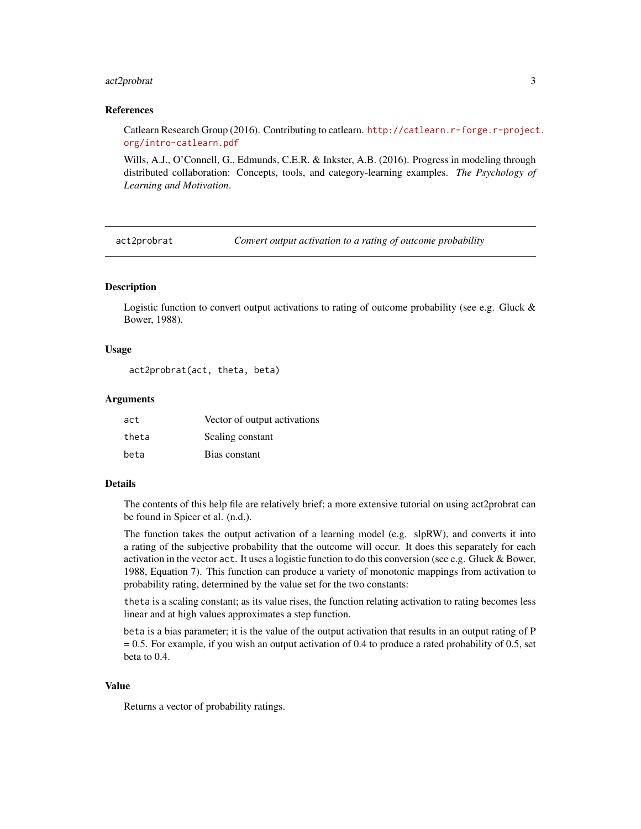# <span id="page-2-0"></span>act2probrat 3

#### References

Catlearn Research Group (2016). Contributing to catlearn. [http://catlearn.r-forge.r-project](http://catlearn.r-forge.r-project.org/intro-catlearn.pdf). [org/intro-catlearn.pdf](http://catlearn.r-forge.r-project.org/intro-catlearn.pdf)

Wills, A.J., O'Connell, G., Edmunds, C.E.R. & Inkster, A.B. (2016). Progress in modeling through distributed collaboration: Concepts, tools, and category-learning examples. *The Psychology of Learning and Motivation*.

act2probrat *Convert output activation to a rating of outcome probability*

#### Description

Logistic function to convert output activations to rating of outcome probability (see e.g. Gluck & Bower, 1988).

# Usage

act2probrat(act, theta, beta)

## Arguments

| act   | Vector of output activations |
|-------|------------------------------|
| theta | Scaling constant             |
| beta  | Bias constant                |

# Details

The contents of this help file are relatively brief; a more extensive tutorial on using act2probrat can be found in Spicer et al. (n.d.).

The function takes the output activation of a learning model (e.g. slpRW), and converts it into a rating of the subjective probability that the outcome will occur. It does this separately for each activation in the vector act. It uses a logistic function to do this conversion (see e.g. Gluck & Bower, 1988, Equation 7). This function can produce a variety of monotonic mappings from activation to probability rating, determined by the value set for the two constants:

theta is a scaling constant; as its value rises, the function relating activation to rating becomes less linear and at high values approximates a step function.

beta is a bias parameter; it is the value of the output activation that results in an output rating of P = 0.5. For example, if you wish an output activation of 0.4 to produce a rated probability of 0.5, set beta to 0.4.

# Value

Returns a vector of probability ratings.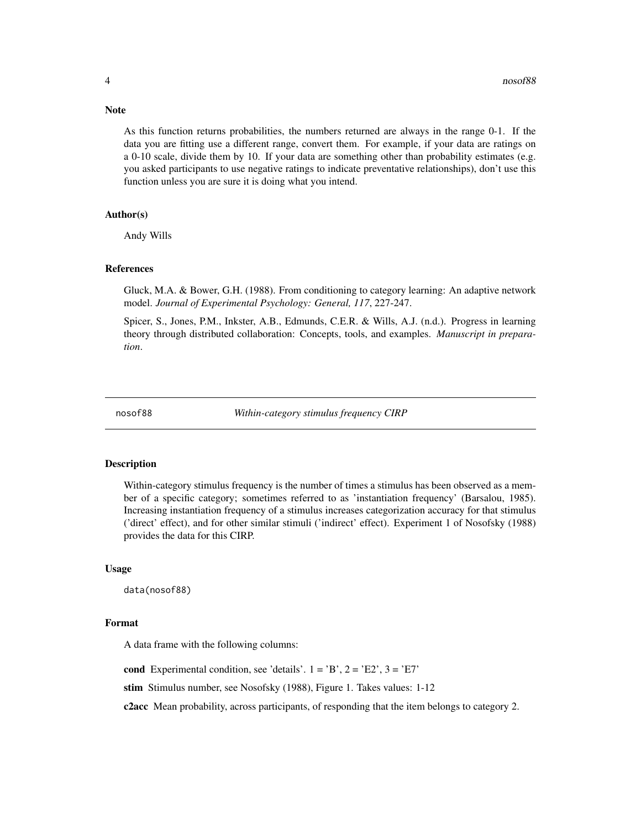As this function returns probabilities, the numbers returned are always in the range 0-1. If the data you are fitting use a different range, convert them. For example, if your data are ratings on a 0-10 scale, divide them by 10. If your data are something other than probability estimates (e.g. you asked participants to use negative ratings to indicate preventative relationships), don't use this function unless you are sure it is doing what you intend.

#### Author(s)

Andy Wills

#### References

Gluck, M.A. & Bower, G.H. (1988). From conditioning to category learning: An adaptive network model. *Journal of Experimental Psychology: General, 117*, 227-247.

Spicer, S., Jones, P.M., Inkster, A.B., Edmunds, C.E.R. & Wills, A.J. (n.d.). Progress in learning theory through distributed collaboration: Concepts, tools, and examples. *Manuscript in preparation*.

<span id="page-3-1"></span>

nosof88 *Within-category stimulus frequency CIRP*

# Description

Within-category stimulus frequency is the number of times a stimulus has been observed as a member of a specific category; sometimes referred to as 'instantiation frequency' (Barsalou, 1985). Increasing instantiation frequency of a stimulus increases categorization accuracy for that stimulus ('direct' effect), and for other similar stimuli ('indirect' effect). Experiment 1 of Nosofsky (1988) provides the data for this CIRP.

#### Usage

data(nosof88)

#### Format

A data frame with the following columns:

cond Experimental condition, see 'details'.  $1 = 'B', 2 = 'E2', 3 = 'E7'$ 

stim Stimulus number, see Nosofsky (1988), Figure 1. Takes values: 1-12

c2acc Mean probability, across participants, of responding that the item belongs to category 2.

# <span id="page-3-0"></span>**Note**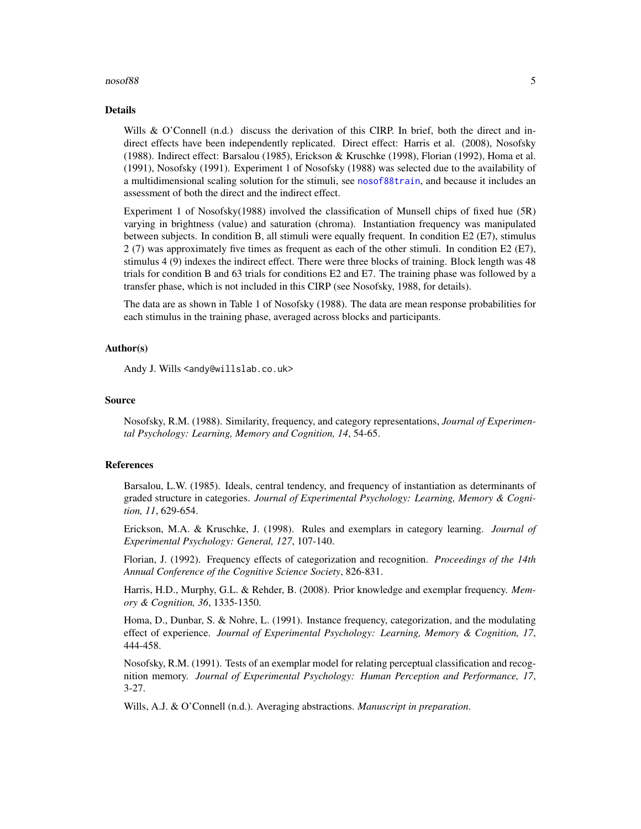#### <span id="page-4-0"></span> $\frac{1}{5}$  5

#### Details

Wills & O'Connell (n.d.) discuss the derivation of this CIRP. In brief, both the direct and indirect effects have been independently replicated. Direct effect: Harris et al. (2008), Nosofsky (1988). Indirect effect: Barsalou (1985), Erickson & Kruschke (1998), Florian (1992), Homa et al. (1991), Nosofsky (1991). Experiment 1 of Nosofsky (1988) was selected due to the availability of a multidimensional scaling solution for the stimuli, see [nosof88train](#page-10-1), and because it includes an assessment of both the direct and the indirect effect.

Experiment 1 of Nosofsky(1988) involved the classification of Munsell chips of fixed hue (5R) varying in brightness (value) and saturation (chroma). Instantiation frequency was manipulated between subjects. In condition B, all stimuli were equally frequent. In condition E2 (E7), stimulus 2 (7) was approximately five times as frequent as each of the other stimuli. In condition E2 (E7), stimulus 4 (9) indexes the indirect effect. There were three blocks of training. Block length was 48 trials for condition B and 63 trials for conditions E2 and E7. The training phase was followed by a transfer phase, which is not included in this CIRP (see Nosofsky, 1988, for details).

The data are as shown in Table 1 of Nosofsky (1988). The data are mean response probabilities for each stimulus in the training phase, averaged across blocks and participants.

# Author(s)

Andy J. Wills <andy@willslab.co.uk>

#### Source

Nosofsky, R.M. (1988). Similarity, frequency, and category representations, *Journal of Experimental Psychology: Learning, Memory and Cognition, 14*, 54-65.

# References

Barsalou, L.W. (1985). Ideals, central tendency, and frequency of instantiation as determinants of graded structure in categories. *Journal of Experimental Psychology: Learning, Memory & Cognition, 11*, 629-654.

Erickson, M.A. & Kruschke, J. (1998). Rules and exemplars in category learning. *Journal of Experimental Psychology: General, 127*, 107-140.

Florian, J. (1992). Frequency effects of categorization and recognition. *Proceedings of the 14th Annual Conference of the Cognitive Science Society*, 826-831.

Harris, H.D., Murphy, G.L. & Rehder, B. (2008). Prior knowledge and exemplar frequency. *Memory & Cognition, 36*, 1335-1350.

Homa, D., Dunbar, S. & Nohre, L. (1991). Instance frequency, categorization, and the modulating effect of experience. *Journal of Experimental Psychology: Learning, Memory & Cognition, 17*, 444-458.

Nosofsky, R.M. (1991). Tests of an exemplar model for relating perceptual classification and recognition memory. *Journal of Experimental Psychology: Human Perception and Performance, 17*, 3-27.

Wills, A.J. & O'Connell (n.d.). Averaging abstractions. *Manuscript in preparation*.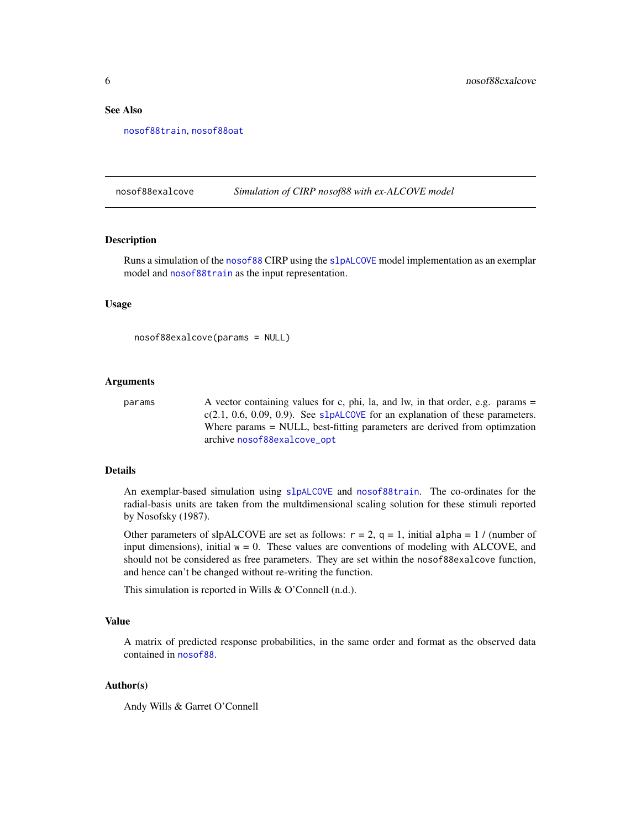# <span id="page-5-0"></span>See Also

[nosof88train](#page-10-1), [nosof88oat](#page-7-1)

# <span id="page-5-1"></span>nosof88exalcove *Simulation of CIRP nosof88 with ex-ALCOVE model*

#### Description

Runs a simulation of the [nosof88](#page-3-1) CIRP using the [slpALCOVE](#page-30-1) model implementation as an exemplar model and [nosof88train](#page-10-1) as the input representation.

# Usage

```
nosof88exalcove(params = NULL)
```
#### Arguments

```
params \alpha vector containing values for c, phi, la, and lw, in that order, e.g. params =
                 c(2.1, 0.6, 0.09, 0.9)slpALCOVE for an explanation of these parameters.
                 Where params = NULL, best-fitting parameters are derived from optimization
                 archive nosof88exalcove_opt
```
#### Details

An exemplar-based simulation using [slpALCOVE](#page-30-1) and [nosof88train](#page-10-1). The co-ordinates for the radial-basis units are taken from the multdimensional scaling solution for these stimuli reported by Nosofsky (1987).

Other parameters of slpALCOVE are set as follows:  $r = 2$ ,  $q = 1$ , initial alpha = 1 / (number of input dimensions), initial  $w = 0$ . These values are conventions of modeling with ALCOVE, and should not be considered as free parameters. They are set within the nosof88exalcove function, and hence can't be changed without re-writing the function.

This simulation is reported in Wills & O'Connell (n.d.).

# Value

A matrix of predicted response probabilities, in the same order and format as the observed data contained in [nosof88](#page-3-1).

#### Author(s)

Andy Wills & Garret O'Connell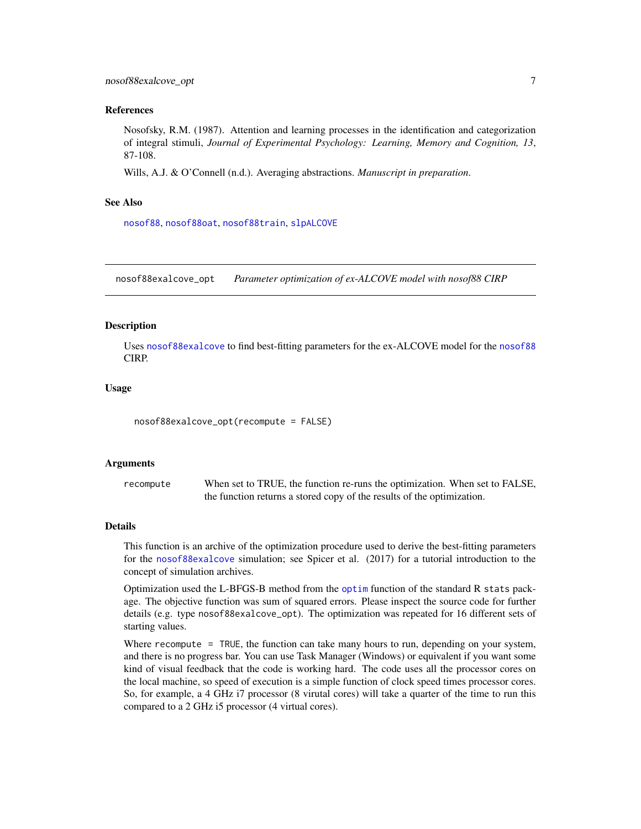#### <span id="page-6-0"></span>References

Nosofsky, R.M. (1987). Attention and learning processes in the identification and categorization of integral stimuli, *Journal of Experimental Psychology: Learning, Memory and Cognition, 13*, 87-108.

Wills, A.J. & O'Connell (n.d.). Averaging abstractions. *Manuscript in preparation*.

#### See Also

[nosof88](#page-3-1), [nosof88oat](#page-7-1), [nosof88train](#page-10-1), [slpALCOVE](#page-30-1)

<span id="page-6-1"></span>nosof88exalcove\_opt *Parameter optimization of ex-ALCOVE model with nosof88 CIRP*

#### **Description**

Uses [nosof88exalcove](#page-5-1) to find best-fitting parameters for the ex-ALCOVE model for the [nosof88](#page-3-1) CIRP.

# Usage

nosof88exalcove\_opt(recompute = FALSE)

#### Arguments

recompute When set to TRUE, the function re-runs the optimization. When set to FALSE, the function returns a stored copy of the results of the optimization.

#### Details

This function is an archive of the optimization procedure used to derive the best-fitting parameters for the [nosof88exalcove](#page-5-1) simulation; see Spicer et al. (2017) for a tutorial introduction to the concept of simulation archives.

Optimization used the L-BFGS-B method from the [optim](#page-0-0) function of the standard R stats package. The objective function was sum of squared errors. Please inspect the source code for further details (e.g. type nosof88exalcove\_opt). The optimization was repeated for 16 different sets of starting values.

Where recompute = TRUE, the function can take many hours to run, depending on your system, and there is no progress bar. You can use Task Manager (Windows) or equivalent if you want some kind of visual feedback that the code is working hard. The code uses all the processor cores on the local machine, so speed of execution is a simple function of clock speed times processor cores. So, for example, a 4 GHz i7 processor (8 virutal cores) will take a quarter of the time to run this compared to a 2 GHz i5 processor (4 virtual cores).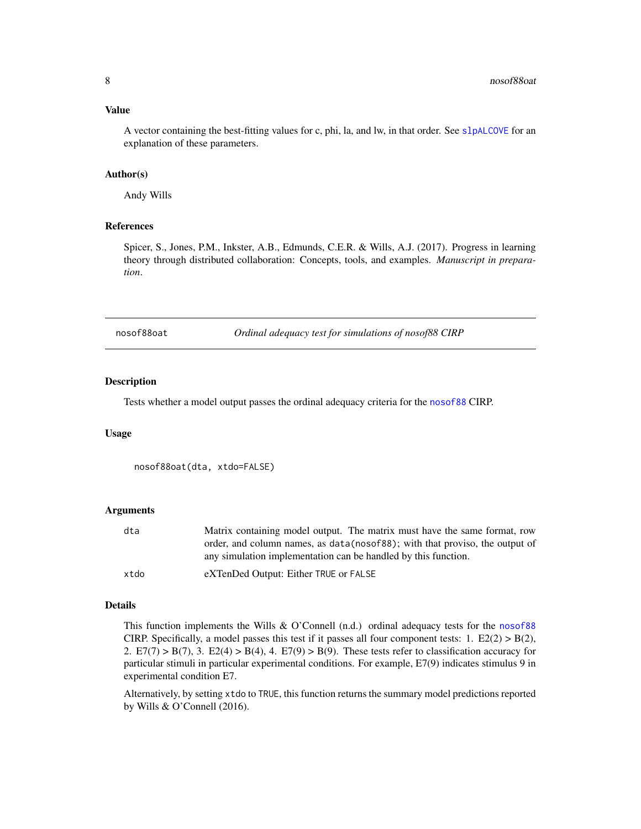# <span id="page-7-0"></span>Value

A vector containing the best-fitting values for c, phi, la, and lw, in that order. See [slpALCOVE](#page-30-1) for an explanation of these parameters.

#### Author(s)

Andy Wills

#### References

Spicer, S., Jones, P.M., Inkster, A.B., Edmunds, C.E.R. & Wills, A.J. (2017). Progress in learning theory through distributed collaboration: Concepts, tools, and examples. *Manuscript in preparation*.

<span id="page-7-1"></span>nosof88oat *Ordinal adequacy test for simulations of nosof88 CIRP*

#### **Description**

Tests whether a model output passes the ordinal adequacy criteria for the [nosof88](#page-3-1) CIRP.

#### Usage

```
nosof88oat(dta, xtdo=FALSE)
```
#### Arguments

| dta  | Matrix containing model output. The matrix must have the same format, row    |
|------|------------------------------------------------------------------------------|
|      | order, and column names, as data (nosof88); with that proviso, the output of |
|      | any simulation implementation can be handled by this function.               |
| xtdo | eXTenDed Output: Either TRUE or FALSE                                        |

#### Details

This function implements the Wills & O'Connell (n.d.) ordinal adequacy tests for the [nosof88](#page-3-1) CIRP. Specifically, a model passes this test if it passes all four component tests:  $1. E2(2) > B(2)$ , 2. E7(7) > B(7), 3. E2(4) > B(4), 4. E7(9) > B(9). These tests refer to classification accuracy for particular stimuli in particular experimental conditions. For example, E7(9) indicates stimulus 9 in experimental condition E7.

Alternatively, by setting xtdo to TRUE, this function returns the summary model predictions reported by Wills & O'Connell (2016).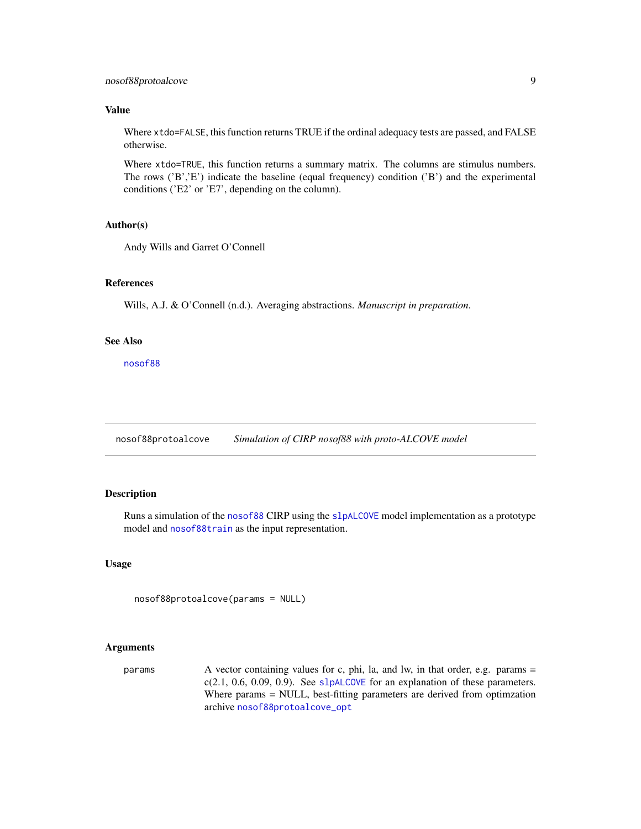# <span id="page-8-0"></span>Value

Where xtdo=FALSE, this function returns TRUE if the ordinal adequacy tests are passed, and FALSE otherwise.

Where xtdo=TRUE, this function returns a summary matrix. The columns are stimulus numbers. The rows ( $B$ ','E') indicate the baseline (equal frequency) condition ( $B$ ') and the experimental conditions ('E2' or 'E7', depending on the column).

# Author(s)

Andy Wills and Garret O'Connell

# References

Wills, A.J. & O'Connell (n.d.). Averaging abstractions. *Manuscript in preparation*.

# See Also

[nosof88](#page-3-1)

<span id="page-8-1"></span>nosof88protoalcove *Simulation of CIRP nosof88 with proto-ALCOVE model*

# Description

Runs a simulation of the [nosof88](#page-3-1) CIRP using the [slpALCOVE](#page-30-1) model implementation as a prototype model and [nosof88train](#page-10-1) as the input representation.

# Usage

nosof88protoalcove(params = NULL)

# Arguments

params A vector containing values for c, phi, la, and lw, in that order, e.g. params =  $c(2.1, 0.6, 0.09, 0.9)$ . See [slpALCOVE](#page-30-1) for an explanation of these parameters. Where params = NULL, best-fitting parameters are derived from optimzation archive [nosof88protoalcove\\_opt](#page-9-1)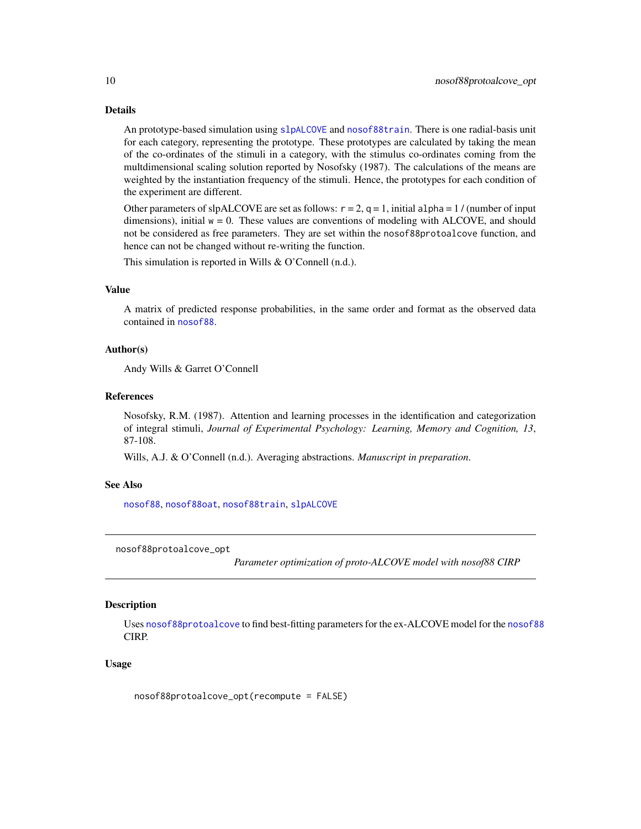# Details

An prototype-based simulation using [slpALCOVE](#page-30-1) and [nosof88train](#page-10-1). There is one radial-basis unit for each category, representing the prototype. These prototypes are calculated by taking the mean of the co-ordinates of the stimuli in a category, with the stimulus co-ordinates coming from the multdimensional scaling solution reported by Nosofsky (1987). The calculations of the means are weighted by the instantiation frequency of the stimuli. Hence, the prototypes for each condition of the experiment are different.

Other parameters of slpALCOVE are set as follows:  $r = 2$ ,  $q = 1$ , initial alpha = 1/(number of input dimensions), initial  $w = 0$ . These values are conventions of modeling with ALCOVE, and should not be considered as free parameters. They are set within the nosof88protoalcove function, and hence can not be changed without re-writing the function.

This simulation is reported in Wills & O'Connell (n.d.).

#### Value

A matrix of predicted response probabilities, in the same order and format as the observed data contained in [nosof88](#page-3-1).

# Author(s)

Andy Wills & Garret O'Connell

# References

Nosofsky, R.M. (1987). Attention and learning processes in the identification and categorization of integral stimuli, *Journal of Experimental Psychology: Learning, Memory and Cognition, 13*, 87-108.

Wills, A.J. & O'Connell (n.d.). Averaging abstractions. *Manuscript in preparation*.

#### See Also

[nosof88](#page-3-1), [nosof88oat](#page-7-1), [nosof88train](#page-10-1), [slpALCOVE](#page-30-1)

<span id="page-9-1"></span>nosof88protoalcove\_opt

*Parameter optimization of proto-ALCOVE model with nosof88 CIRP*

# **Description**

Uses [nosof88protoalcove](#page-8-1) to find best-fitting parameters for the ex-ALCOVE model for the [nosof88](#page-3-1) CIRP.

#### Usage

nosof88protoalcove\_opt(recompute = FALSE)

<span id="page-9-0"></span>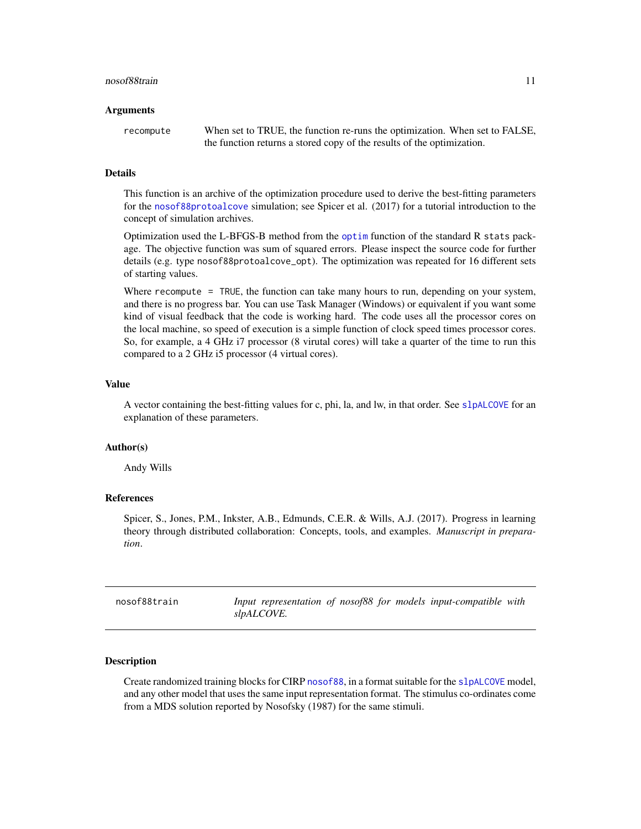#### <span id="page-10-0"></span>Arguments

recompute When set to TRUE, the function re-runs the optimization. When set to FALSE, the function returns a stored copy of the results of the optimization.

#### Details

This function is an archive of the optimization procedure used to derive the best-fitting parameters for the [nosof88protoalcove](#page-8-1) simulation; see Spicer et al. (2017) for a tutorial introduction to the concept of simulation archives.

Optimization used the L-BFGS-B method from the [optim](#page-0-0) function of the standard R stats package. The objective function was sum of squared errors. Please inspect the source code for further details (e.g. type nosof88protoalcove\_opt). The optimization was repeated for 16 different sets of starting values.

Where recompute = TRUE, the function can take many hours to run, depending on your system, and there is no progress bar. You can use Task Manager (Windows) or equivalent if you want some kind of visual feedback that the code is working hard. The code uses all the processor cores on the local machine, so speed of execution is a simple function of clock speed times processor cores. So, for example, a 4 GHz i7 processor (8 virutal cores) will take a quarter of the time to run this compared to a 2 GHz i5 processor (4 virtual cores).

#### Value

A vector containing the best-fitting values for c, phi, la, and lw, in that order. See [slpALCOVE](#page-30-1) for an explanation of these parameters.

#### Author(s)

Andy Wills

# References

Spicer, S., Jones, P.M., Inkster, A.B., Edmunds, C.E.R. & Wills, A.J. (2017). Progress in learning theory through distributed collaboration: Concepts, tools, and examples. *Manuscript in preparation*.

<span id="page-10-1"></span>

| nosof88train |            |  |  | Input representation of nosof88 for models input-compatible with |  |
|--------------|------------|--|--|------------------------------------------------------------------|--|
|              | slpALCOVE. |  |  |                                                                  |  |

#### Description

Create randomized training blocks for CIRP [nosof88](#page-3-1), in a format suitable for the [slpALCOVE](#page-30-1) model, and any other model that uses the same input representation format. The stimulus co-ordinates come from a MDS solution reported by Nosofsky (1987) for the same stimuli.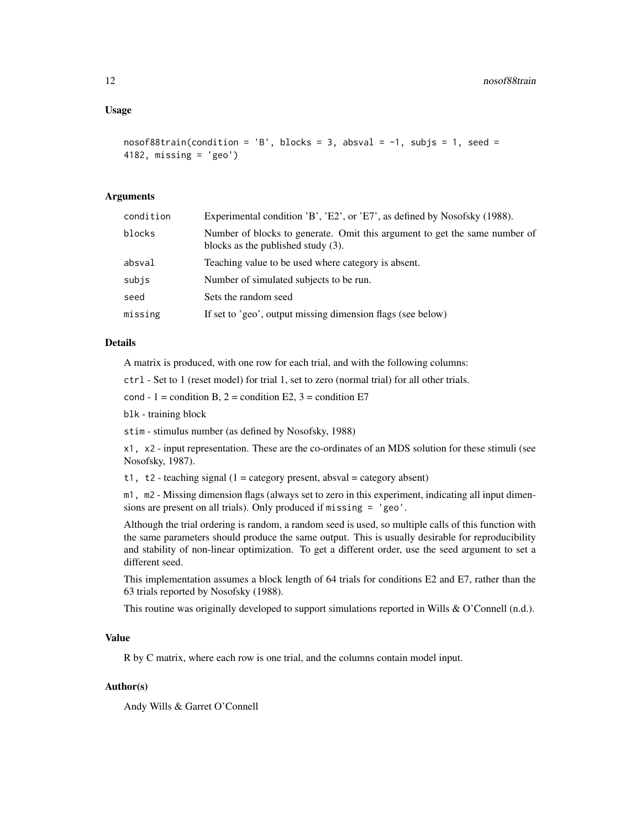# Usage

```
nosof88train(condition = 'B', blocks = 3, absval = -1, subjs = 1, seed =
4182, missing = 'geo')
```
# Arguments

| condition | Experimental condition 'B', 'E2', or 'E7', as defined by Nosofsky (1988).                                           |
|-----------|---------------------------------------------------------------------------------------------------------------------|
| blocks    | Number of blocks to generate. Omit this argument to get the same number of<br>blocks as the published study $(3)$ . |
| absval    | Teaching value to be used where category is absent.                                                                 |
| subjs     | Number of simulated subjects to be run.                                                                             |
| seed      | Sets the random seed                                                                                                |
| missing   | If set to 'geo', output missing dimension flags (see below)                                                         |

#### Details

A matrix is produced, with one row for each trial, and with the following columns:

ctrl - Set to 1 (reset model) for trial 1, set to zero (normal trial) for all other trials.

cond - 1 = condition B,  $2$  = condition E2,  $3$  = condition E7

blk - training block

stim - stimulus number (as defined by Nosofsky, 1988)

x1, x2 - input representation. These are the co-ordinates of an MDS solution for these stimuli (see Nosofsky, 1987).

t1, t2 - teaching signal  $(1 = \text{category present}, \text{absval} = \text{category absent})$ 

m1, m2 - Missing dimension flags (always set to zero in this experiment, indicating all input dimensions are present on all trials). Only produced if missing = 'geo'.

Although the trial ordering is random, a random seed is used, so multiple calls of this function with the same parameters should produce the same output. This is usually desirable for reproducibility and stability of non-linear optimization. To get a different order, use the seed argument to set a different seed.

This implementation assumes a block length of 64 trials for conditions E2 and E7, rather than the 63 trials reported by Nosofsky (1988).

This routine was originally developed to support simulations reported in Wills & O'Connell (n.d.).

#### Value

R by C matrix, where each row is one trial, and the columns contain model input.

# Author(s)

Andy Wills & Garret O'Connell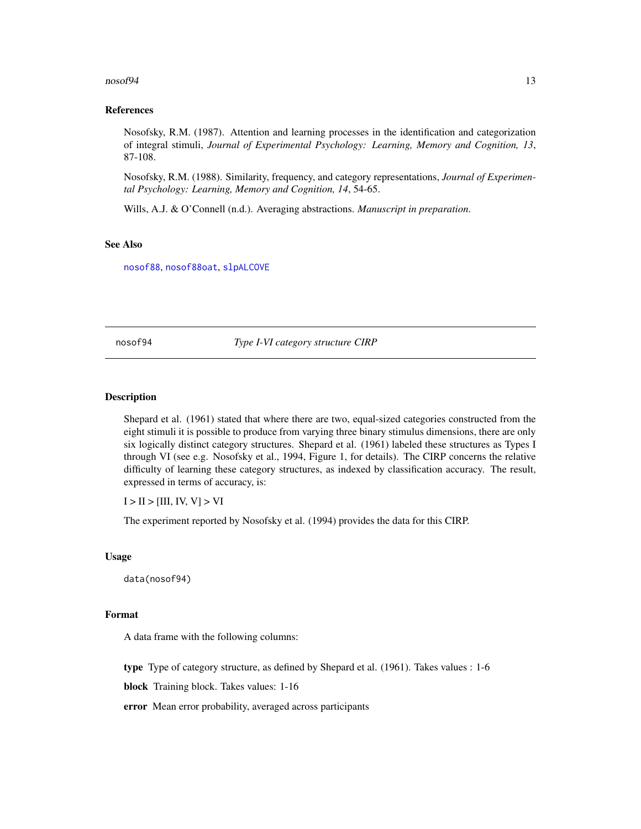#### <span id="page-12-0"></span> $\frac{13}{3}$

#### References

Nosofsky, R.M. (1987). Attention and learning processes in the identification and categorization of integral stimuli, *Journal of Experimental Psychology: Learning, Memory and Cognition, 13*, 87-108.

Nosofsky, R.M. (1988). Similarity, frequency, and category representations, *Journal of Experimental Psychology: Learning, Memory and Cognition, 14*, 54-65.

Wills, A.J. & O'Connell (n.d.). Averaging abstractions. *Manuscript in preparation*.

#### See Also

[nosof88](#page-3-1), [nosof88oat](#page-7-1), [slpALCOVE](#page-30-1)

<span id="page-12-1"></span>nosof94 *Type I-VI category structure CIRP*

# Description

Shepard et al. (1961) stated that where there are two, equal-sized categories constructed from the eight stimuli it is possible to produce from varying three binary stimulus dimensions, there are only six logically distinct category structures. Shepard et al. (1961) labeled these structures as Types I through VI (see e.g. Nosofsky et al., 1994, Figure 1, for details). The CIRP concerns the relative difficulty of learning these category structures, as indexed by classification accuracy. The result, expressed in terms of accuracy, is:

 $I > II > [III, IV, V] > VI$ 

The experiment reported by Nosofsky et al. (1994) provides the data for this CIRP.

#### Usage

data(nosof94)

#### Format

A data frame with the following columns:

type Type of category structure, as defined by Shepard et al. (1961). Takes values : 1-6

block Training block. Takes values: 1-16

error Mean error probability, averaged across participants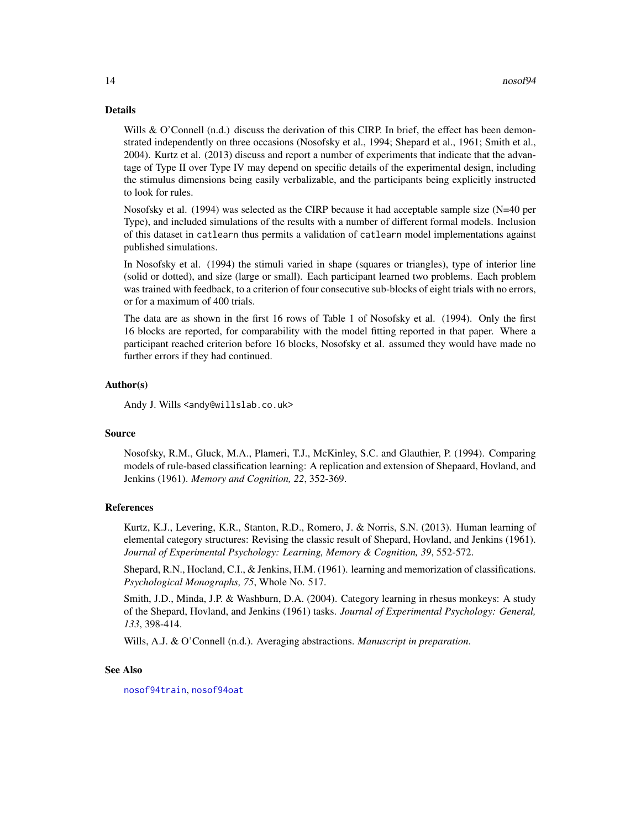#### <span id="page-13-0"></span>Details

Wills & O'Connell (n.d.) discuss the derivation of this CIRP. In brief, the effect has been demonstrated independently on three occasions (Nosofsky et al., 1994; Shepard et al., 1961; Smith et al., 2004). Kurtz et al. (2013) discuss and report a number of experiments that indicate that the advantage of Type II over Type IV may depend on specific details of the experimental design, including the stimulus dimensions being easily verbalizable, and the participants being explicitly instructed to look for rules.

Nosofsky et al. (1994) was selected as the CIRP because it had acceptable sample size (N=40 per Type), and included simulations of the results with a number of different formal models. Inclusion of this dataset in catlearn thus permits a validation of catlearn model implementations against published simulations.

In Nosofsky et al. (1994) the stimuli varied in shape (squares or triangles), type of interior line (solid or dotted), and size (large or small). Each participant learned two problems. Each problem was trained with feedback, to a criterion of four consecutive sub-blocks of eight trials with no errors, or for a maximum of 400 trials.

The data are as shown in the first 16 rows of Table 1 of Nosofsky et al. (1994). Only the first 16 blocks are reported, for comparability with the model fitting reported in that paper. Where a participant reached criterion before 16 blocks, Nosofsky et al. assumed they would have made no further errors if they had continued.

#### Author(s)

Andy J. Wills <andy@willslab.co.uk>

#### Source

Nosofsky, R.M., Gluck, M.A., Plameri, T.J., McKinley, S.C. and Glauthier, P. (1994). Comparing models of rule-based classification learning: A replication and extension of Shepaard, Hovland, and Jenkins (1961). *Memory and Cognition, 22*, 352-369.

#### References

Kurtz, K.J., Levering, K.R., Stanton, R.D., Romero, J. & Norris, S.N. (2013). Human learning of elemental category structures: Revising the classic result of Shepard, Hovland, and Jenkins (1961). *Journal of Experimental Psychology: Learning, Memory & Cognition, 39*, 552-572.

Shepard, R.N., Hocland, C.I., & Jenkins, H.M. (1961). learning and memorization of classifications. *Psychological Monographs, 75*, Whole No. 517.

Smith, J.D., Minda, J.P. & Washburn, D.A. (2004). Category learning in rhesus monkeys: A study of the Shepard, Hovland, and Jenkins (1961) tasks. *Journal of Experimental Psychology: General, 133*, 398-414.

Wills, A.J. & O'Connell (n.d.). Averaging abstractions. *Manuscript in preparation*.

### See Also

[nosof94train](#page-19-1), [nosof94oat](#page-17-1)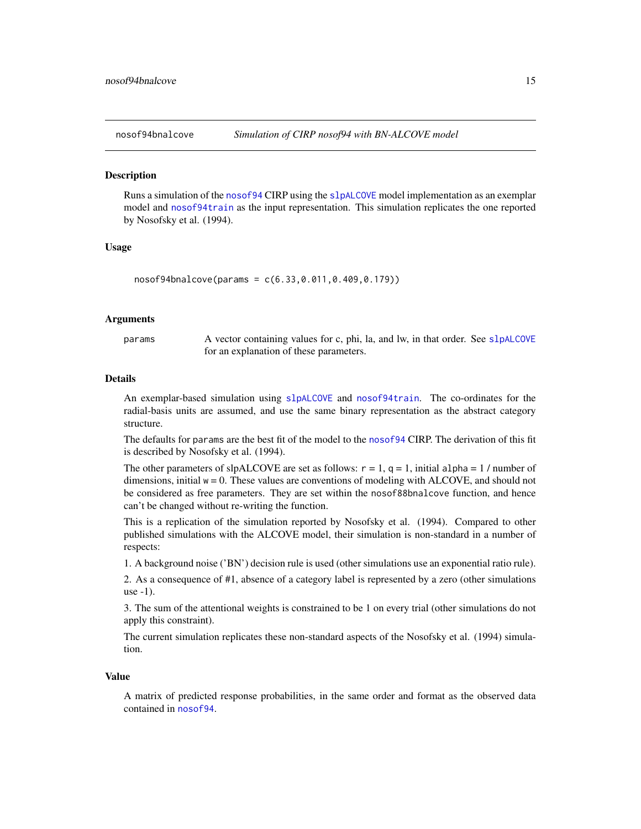<span id="page-14-1"></span><span id="page-14-0"></span>

#### **Description**

Runs a simulation of the [nosof94](#page-12-1) CIRP using the [slpALCOVE](#page-30-1) model implementation as an exemplar model and [nosof94train](#page-19-1) as the input representation. This simulation replicates the one reported by Nosofsky et al. (1994).

#### Usage

nosof94bnalcove(params = c(6.33,0.011,0.409,0.179))

#### Arguments

params A vector containing values for c, phi, la, and lw, in that order. See s1 pALCOVE for an explanation of these parameters.

# Details

An exemplar-based simulation using [slpALCOVE](#page-30-1) and [nosof94train](#page-19-1). The co-ordinates for the radial-basis units are assumed, and use the same binary representation as the abstract category structure.

The defaults for params are the best fit of the model to the [nosof94](#page-12-1) CIRP. The derivation of this fit is described by Nosofsky et al. (1994).

The other parameters of slpALCOVE are set as follows:  $r = 1$ ,  $q = 1$ , initial alpha = 1 / number of dimensions, initial  $w = 0$ . These values are conventions of modeling with ALCOVE, and should not be considered as free parameters. They are set within the nosof88bnalcove function, and hence can't be changed without re-writing the function.

This is a replication of the simulation reported by Nosofsky et al. (1994). Compared to other published simulations with the ALCOVE model, their simulation is non-standard in a number of respects:

1. A background noise ('BN') decision rule is used (other simulations use an exponential ratio rule).

2. As a consequence of #1, absence of a category label is represented by a zero (other simulations use -1).

3. The sum of the attentional weights is constrained to be 1 on every trial (other simulations do not apply this constraint).

The current simulation replicates these non-standard aspects of the Nosofsky et al. (1994) simulation.

#### Value

A matrix of predicted response probabilities, in the same order and format as the observed data contained in [nosof94](#page-12-1).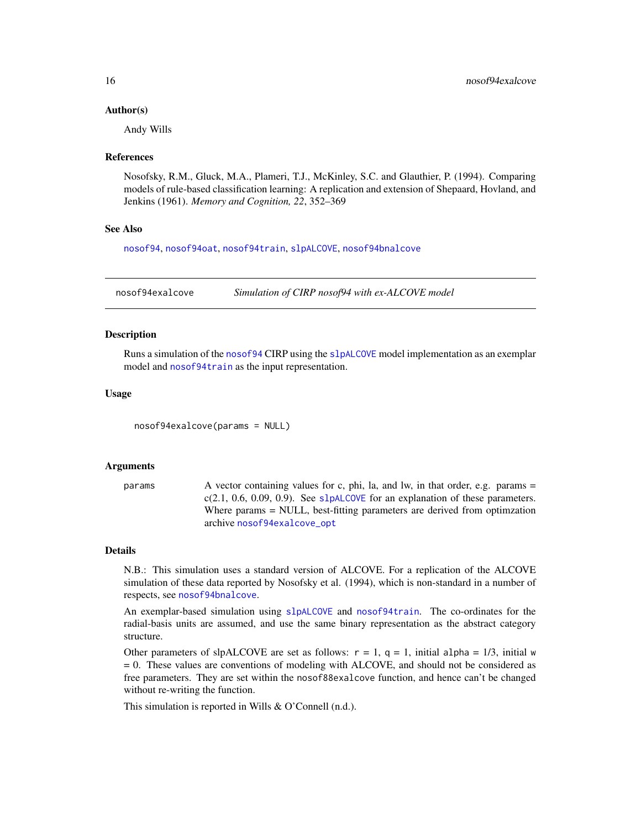#### <span id="page-15-0"></span>Author(s)

Andy Wills

#### References

Nosofsky, R.M., Gluck, M.A., Plameri, T.J., McKinley, S.C. and Glauthier, P. (1994). Comparing models of rule-based classification learning: A replication and extension of Shepaard, Hovland, and Jenkins (1961). *Memory and Cognition, 22*, 352–369

#### See Also

[nosof94](#page-12-1), [nosof94oat](#page-17-1), [nosof94train](#page-19-1), [slpALCOVE](#page-30-1), [nosof94bnalcove](#page-14-1)

<span id="page-15-1"></span>nosof94exalcove *Simulation of CIRP nosof94 with ex-ALCOVE model*

#### Description

Runs a simulation of the [nosof94](#page-12-1) CIRP using the [slpALCOVE](#page-30-1) model implementation as an exemplar model and [nosof94train](#page-19-1) as the input representation.

#### Usage

nosof94exalcove(params = NULL)

#### Arguments

params A vector containing values for c, phi, la, and lw, in that order, e.g. params = c(2.1, 0.6, 0.09, 0.9). See [slpALCOVE](#page-30-1) for an explanation of these parameters. Where params = NULL, best-fitting parameters are derived from optimzation archive [nosof94exalcove\\_opt](#page-16-1)

#### Details

N.B.: This simulation uses a standard version of ALCOVE. For a replication of the ALCOVE simulation of these data reported by Nosofsky et al. (1994), which is non-standard in a number of respects, see [nosof94bnalcove](#page-14-1).

An exemplar-based simulation using [slpALCOVE](#page-30-1) and [nosof94train](#page-19-1). The co-ordinates for the radial-basis units are assumed, and use the same binary representation as the abstract category structure.

Other parameters of slpALCOVE are set as follows:  $r = 1$ ,  $q = 1$ , initial alpha = 1/3, initial w = 0. These values are conventions of modeling with ALCOVE, and should not be considered as free parameters. They are set within the nosof88exalcove function, and hence can't be changed without re-writing the function.

This simulation is reported in Wills & O'Connell (n.d.).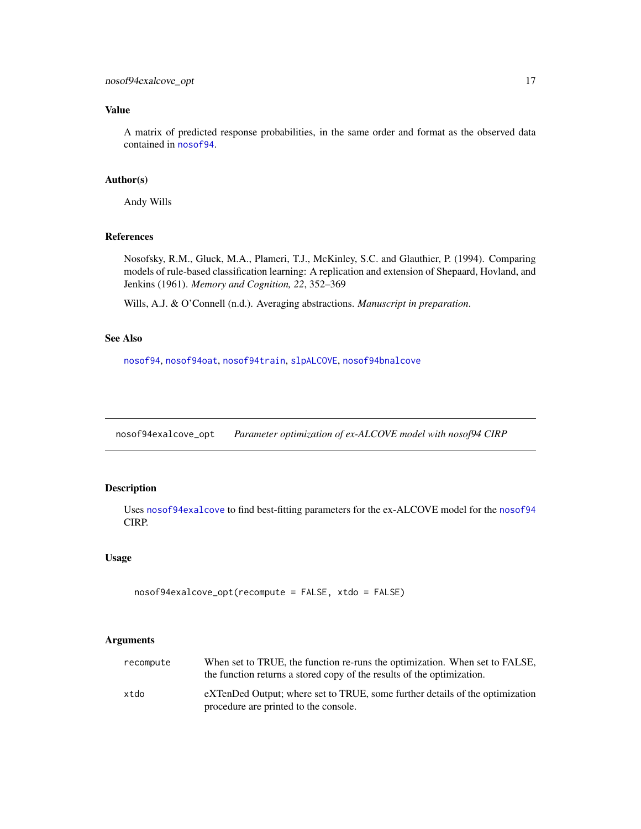# <span id="page-16-0"></span>Value

A matrix of predicted response probabilities, in the same order and format as the observed data contained in [nosof94](#page-12-1).

#### Author(s)

Andy Wills

# References

Nosofsky, R.M., Gluck, M.A., Plameri, T.J., McKinley, S.C. and Glauthier, P. (1994). Comparing models of rule-based classification learning: A replication and extension of Shepaard, Hovland, and Jenkins (1961). *Memory and Cognition, 22*, 352–369

Wills, A.J. & O'Connell (n.d.). Averaging abstractions. *Manuscript in preparation*.

# See Also

[nosof94](#page-12-1), [nosof94oat](#page-17-1), [nosof94train](#page-19-1), [slpALCOVE](#page-30-1), [nosof94bnalcove](#page-14-1)

<span id="page-16-1"></span>nosof94exalcove\_opt *Parameter optimization of ex-ALCOVE model with nosof94 CIRP*

#### Description

Uses [nosof94exalcove](#page-15-1) to find best-fitting parameters for the ex-ALCOVE model for the [nosof94](#page-12-1) CIRP.

# Usage

```
nosof94exalcove_opt(recompute = FALSE, xtdo = FALSE)
```
#### Arguments

| recompute | When set to TRUE, the function re-runs the optimization. When set to FALSE,<br>the function returns a stored copy of the results of the optimization. |
|-----------|-------------------------------------------------------------------------------------------------------------------------------------------------------|
| xtdo      | eXTenDed Output; where set to TRUE, some further details of the optimization<br>procedure are printed to the console.                                 |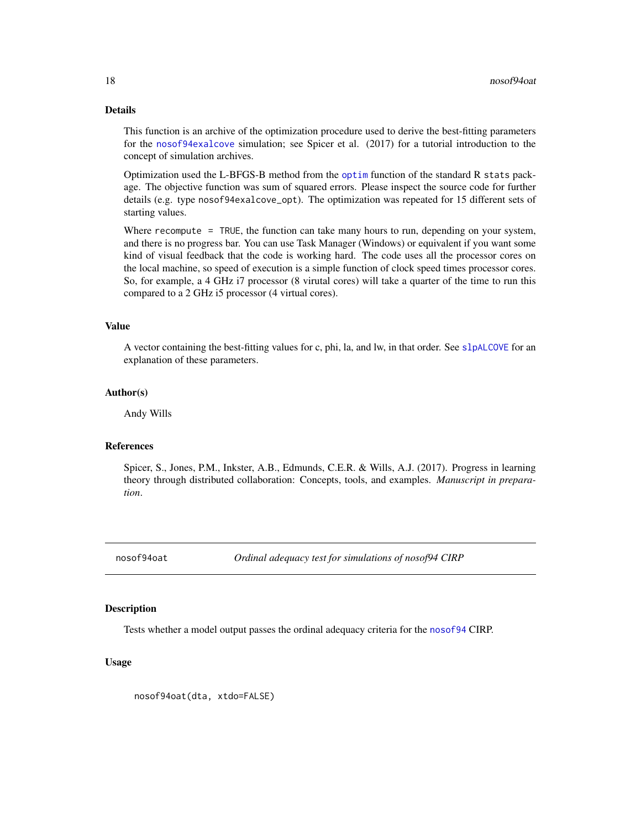# <span id="page-17-0"></span>Details

This function is an archive of the optimization procedure used to derive the best-fitting parameters for the [nosof94exalcove](#page-15-1) simulation; see Spicer et al. (2017) for a tutorial introduction to the concept of simulation archives.

Optimization used the L-BFGS-B method from the [optim](#page-0-0) function of the standard R stats package. The objective function was sum of squared errors. Please inspect the source code for further details (e.g. type nosof94exalcove\_opt). The optimization was repeated for 15 different sets of starting values.

Where recompute = TRUE, the function can take many hours to run, depending on your system, and there is no progress bar. You can use Task Manager (Windows) or equivalent if you want some kind of visual feedback that the code is working hard. The code uses all the processor cores on the local machine, so speed of execution is a simple function of clock speed times processor cores. So, for example, a 4 GHz i7 processor (8 virutal cores) will take a quarter of the time to run this compared to a 2 GHz i5 processor (4 virtual cores).

#### Value

A vector containing the best-fitting values for c, phi, la, and lw, in that order. See [slpALCOVE](#page-30-1) for an explanation of these parameters.

#### Author(s)

Andy Wills

#### References

Spicer, S., Jones, P.M., Inkster, A.B., Edmunds, C.E.R. & Wills, A.J. (2017). Progress in learning theory through distributed collaboration: Concepts, tools, and examples. *Manuscript in preparation*.

<span id="page-17-1"></span>nosof94oat *Ordinal adequacy test for simulations of nosof94 CIRP*

#### **Description**

Tests whether a model output passes the ordinal adequacy criteria for the [nosof94](#page-12-1) CIRP.

#### Usage

nosof94oat(dta, xtdo=FALSE)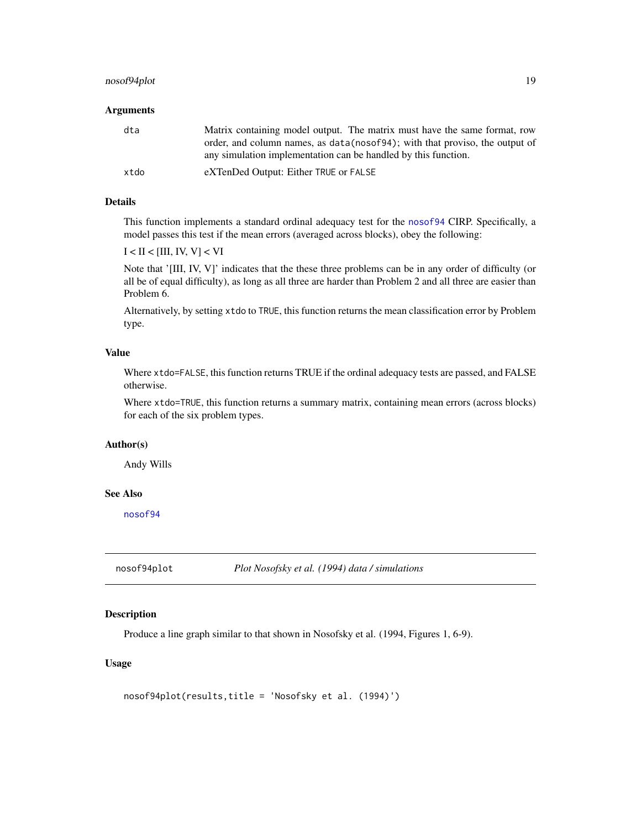# <span id="page-18-0"></span>nosof94plot 19

#### Arguments

| dta  | Matrix containing model output. The matrix must have the same format, row<br>order, and column names, as data (nosof94); with that proviso, the output of<br>any simulation implementation can be handled by this function. |
|------|-----------------------------------------------------------------------------------------------------------------------------------------------------------------------------------------------------------------------------|
| xtdo | eXTenDed Output: Either TRUE or FALSE                                                                                                                                                                                       |

# Details

This function implements a standard ordinal adequacy test for the [nosof94](#page-12-1) CIRP. Specifically, a model passes this test if the mean errors (averaged across blocks), obey the following:

 $I < II < [III, IV, V] < VI$ 

Note that '[III, IV, V]' indicates that the these three problems can be in any order of difficulty (or all be of equal difficulty), as long as all three are harder than Problem 2 and all three are easier than Problem 6.

Alternatively, by setting xtdo to TRUE, this function returns the mean classification error by Problem type.

# Value

Where xtdo=FALSE, this function returns TRUE if the ordinal adequacy tests are passed, and FALSE otherwise.

Where xtdo=TRUE, this function returns a summary matrix, containing mean errors (across blocks) for each of the six problem types.

# Author(s)

Andy Wills

#### See Also

[nosof94](#page-12-1)

nosof94plot *Plot Nosofsky et al. (1994) data / simulations*

#### Description

Produce a line graph similar to that shown in Nosofsky et al. (1994, Figures 1, 6-9).

# Usage

nosof94plot(results,title = 'Nosofsky et al. (1994)')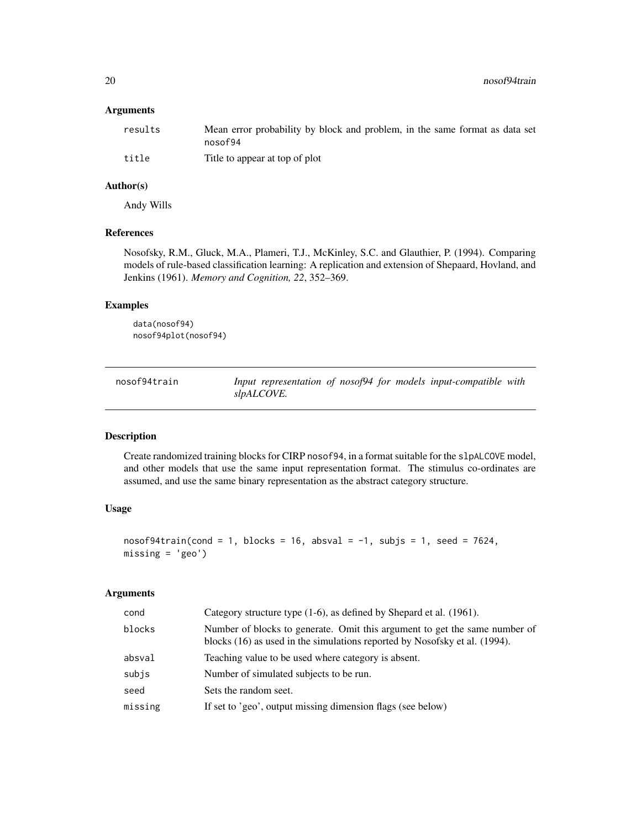<span id="page-19-0"></span>20 nosof94train nosof94train nosof94train nosof94train nosof94train nosof94train nosof94train nosof94train nosof94train nosof94train nosof94train nosof94train nosof94train nosof94train nosof94train nosof94train nosof94trai

# Arguments

| results | Mean error probability by block and problem, in the same format as data set<br>nosof94 |
|---------|----------------------------------------------------------------------------------------|
| title   | Title to appear at top of plot                                                         |

# Author(s)

Andy Wills

# References

Nosofsky, R.M., Gluck, M.A., Plameri, T.J., McKinley, S.C. and Glauthier, P. (1994). Comparing models of rule-based classification learning: A replication and extension of Shepaard, Hovland, and Jenkins (1961). *Memory and Cognition, 22*, 352–369.

# Examples

data(nosof94) nosof94plot(nosof94)

<span id="page-19-1"></span>

| nosof94train | Input representation of nosof94 for models input-compatible with |  |  |
|--------------|------------------------------------------------------------------|--|--|
|              | slpALCOVE.                                                       |  |  |

#### Description

Create randomized training blocks for CIRP nosof94, in a format suitable for the slpALCOVE model, and other models that use the same input representation format. The stimulus co-ordinates are assumed, and use the same binary representation as the abstract category structure.

# Usage

```
nosof94train(cond = 1, blocks = 16, absurd = -1, subjs = 1, seed = 7624,missing = 'geo')
```
# Arguments

| cond    | Category structure type (1-6), as defined by Shepard et al. (1961).                                                                                      |
|---------|----------------------------------------------------------------------------------------------------------------------------------------------------------|
| blocks  | Number of blocks to generate. Omit this argument to get the same number of<br>blocks (16) as used in the simulations reported by Nosofsky et al. (1994). |
| absval  | Teaching value to be used where category is absent.                                                                                                      |
| subis   | Number of simulated subjects to be run.                                                                                                                  |
| seed    | Sets the random seet.                                                                                                                                    |
| missing | If set to 'geo', output missing dimension flags (see below)                                                                                              |
|         |                                                                                                                                                          |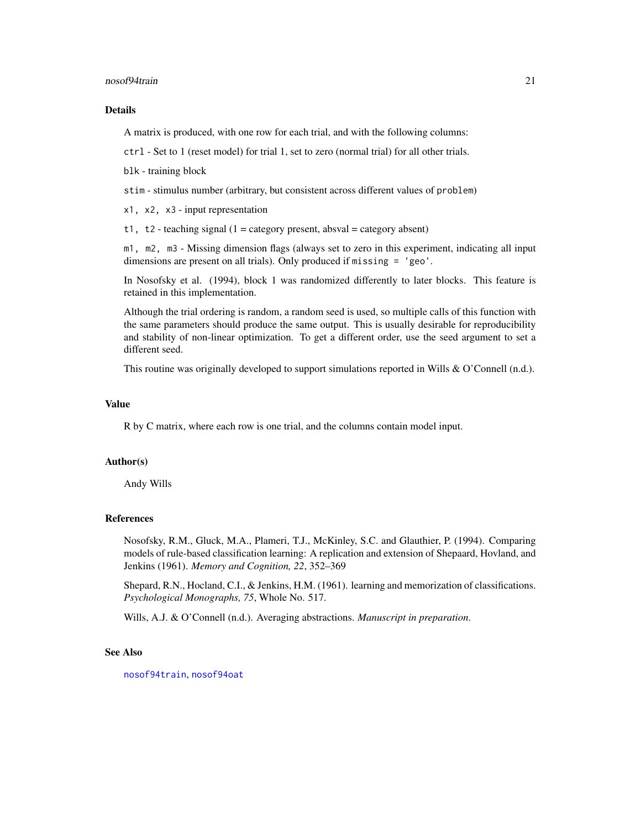#### <span id="page-20-0"></span>nosof94train 21

#### Details

A matrix is produced, with one row for each trial, and with the following columns:

ctrl - Set to 1 (reset model) for trial 1, set to zero (normal trial) for all other trials.

blk - training block

stim - stimulus number (arbitrary, but consistent across different values of problem)

x1, x2, x3 - input representation

t1, t2 - teaching signal  $(1 = \text{category present}, \text{absval} = \text{category absent})$ 

m1, m2, m3 - Missing dimension flags (always set to zero in this experiment, indicating all input dimensions are present on all trials). Only produced if missing = 'geo'.

In Nosofsky et al. (1994), block 1 was randomized differently to later blocks. This feature is retained in this implementation.

Although the trial ordering is random, a random seed is used, so multiple calls of this function with the same parameters should produce the same output. This is usually desirable for reproducibility and stability of non-linear optimization. To get a different order, use the seed argument to set a different seed.

This routine was originally developed to support simulations reported in Wills & O'Connell (n.d.).

# Value

R by C matrix, where each row is one trial, and the columns contain model input.

#### Author(s)

Andy Wills

#### References

Nosofsky, R.M., Gluck, M.A., Plameri, T.J., McKinley, S.C. and Glauthier, P. (1994). Comparing models of rule-based classification learning: A replication and extension of Shepaard, Hovland, and Jenkins (1961). *Memory and Cognition, 22*, 352–369

Shepard, R.N., Hocland, C.I., & Jenkins, H.M. (1961). learning and memorization of classifications. *Psychological Monographs, 75*, Whole No. 517.

Wills, A.J. & O'Connell (n.d.). Averaging abstractions. *Manuscript in preparation*.

#### See Also

[nosof94train](#page-19-1), [nosof94oat](#page-17-1)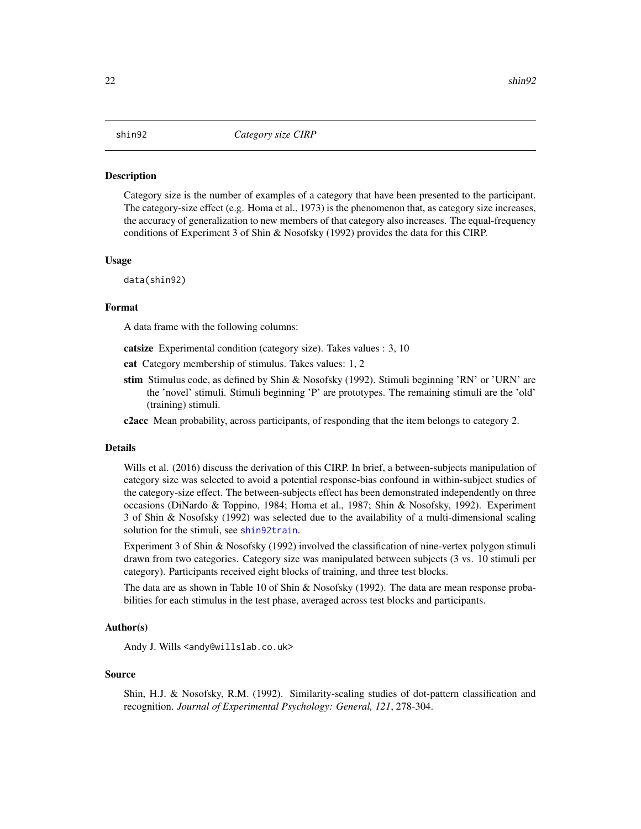#### <span id="page-21-1"></span><span id="page-21-0"></span>Description

Category size is the number of examples of a category that have been presented to the participant. The category-size effect (e.g. Homa et al., 1973) is the phenomenon that, as category size increases, the accuracy of generalization to new members of that category also increases. The equal-frequency conditions of Experiment 3 of Shin & Nosofsky (1992) provides the data for this CIRP.

#### Usage

data(shin92)

#### Format

A data frame with the following columns:

catsize Experimental condition (category size). Takes values : 3, 10

cat Category membership of stimulus. Takes values: 1, 2

stim Stimulus code, as defined by Shin & Nosofsky (1992). Stimuli beginning 'RN' or 'URN' are the 'novel' stimuli. Stimuli beginning 'P' are prototypes. The remaining stimuli are the 'old' (training) stimuli.

c2acc Mean probability, across participants, of responding that the item belongs to category 2.

#### Details

Wills et al. (2016) discuss the derivation of this CIRP. In brief, a between-subjects manipulation of category size was selected to avoid a potential response-bias confound in within-subject studies of the category-size effect. The between-subjects effect has been demonstrated independently on three occasions (DiNardo & Toppino, 1984; Homa et al., 1987; Shin & Nosofsky, 1992). Experiment 3 of Shin & Nosofsky (1992) was selected due to the availability of a multi-dimensional scaling solution for the stimuli, see [shin92train](#page-28-1).

Experiment 3 of Shin & Nosofsky (1992) involved the classification of nine-vertex polygon stimuli drawn from two categories. Category size was manipulated between subjects (3 vs. 10 stimuli per category). Participants received eight blocks of training, and three test blocks.

The data are as shown in Table 10 of Shin & Nosofsky (1992). The data are mean response probabilities for each stimulus in the test phase, averaged across test blocks and participants.

# Author(s)

Andy J. Wills <andy@willslab.co.uk>

#### Source

Shin, H.J. & Nosofsky, R.M. (1992). Similarity-scaling studies of dot-pattern classification and recognition. *Journal of Experimental Psychology: General, 121*, 278-304.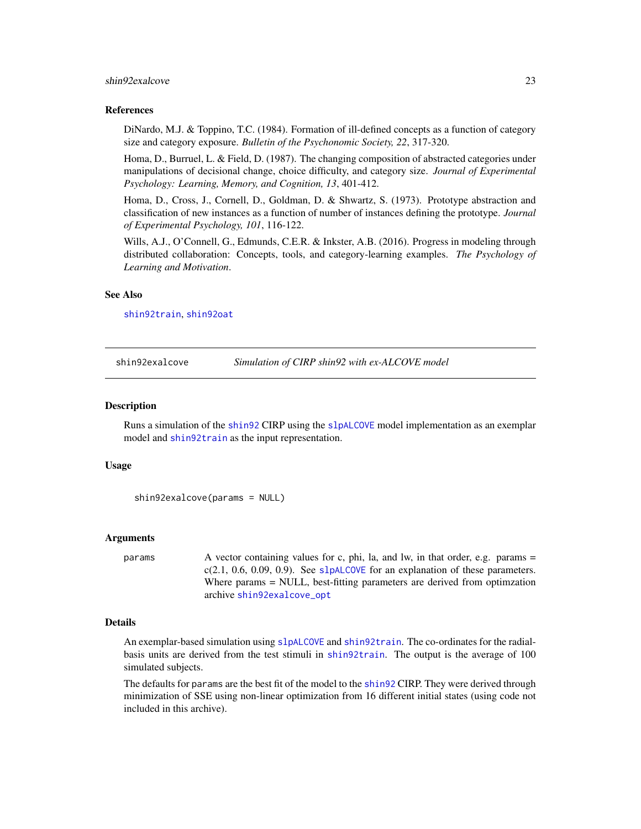#### <span id="page-22-0"></span>shin92exalcove 23

#### References

DiNardo, M.J. & Toppino, T.C. (1984). Formation of ill-defined concepts as a function of category size and category exposure. *Bulletin of the Psychonomic Society, 22*, 317-320.

Homa, D., Burruel, L. & Field, D. (1987). The changing composition of abstracted categories under manipulations of decisional change, choice difficulty, and category size. *Journal of Experimental Psychology: Learning, Memory, and Cognition, 13*, 401-412.

Homa, D., Cross, J., Cornell, D., Goldman, D. & Shwartz, S. (1973). Prototype abstraction and classification of new instances as a function of number of instances defining the prototype. *Journal of Experimental Psychology, 101*, 116-122.

Wills, A.J., O'Connell, G., Edmunds, C.E.R. & Inkster, A.B. (2016). Progress in modeling through distributed collaboration: Concepts, tools, and category-learning examples. *The Psychology of Learning and Motivation*.

#### See Also

[shin92train](#page-28-1), [shin92oat](#page-24-1)

<span id="page-22-1"></span>shin92exalcove *Simulation of CIRP shin92 with ex-ALCOVE model*

#### **Description**

Runs a simulation of the [shin92](#page-21-1) CIRP using the [slpALCOVE](#page-30-1) model implementation as an exemplar model and [shin92train](#page-28-1) as the input representation.

#### Usage

```
shin92exalcove(params = NULL)
```
#### Arguments

params A vector containing values for c, phi, la, and lw, in that order, e.g. params =  $c(2.1, 0.6, 0.09, 0.9)$ . See [slpALCOVE](#page-30-1) for an explanation of these parameters. Where params = NULL, best-fitting parameters are derived from optimzation archive [shin92exalcove\\_opt](#page-23-1)

# Details

An exemplar-based simulation using [slpALCOVE](#page-30-1) and [shin92train](#page-28-1). The co-ordinates for the radialbasis units are derived from the test stimuli in [shin92train](#page-28-1). The output is the average of 100 simulated subjects.

The defaults for params are the best fit of the model to the [shin92](#page-21-1) CIRP. They were derived through minimization of SSE using non-linear optimization from 16 different initial states (using code not included in this archive).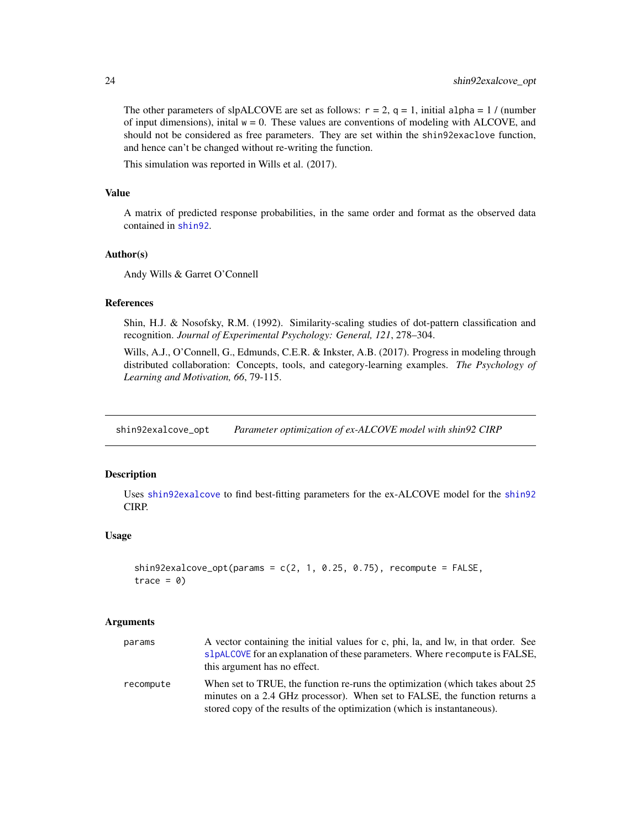The other parameters of slpALCOVE are set as follows:  $r = 2$ ,  $q = 1$ , initial alpha = 1 / (number of input dimensions), inital  $w = 0$ . These values are conventions of modeling with ALCOVE, and should not be considered as free parameters. They are set within the shin92exaclove function, and hence can't be changed without re-writing the function.

This simulation was reported in Wills et al. (2017).

#### Value

A matrix of predicted response probabilities, in the same order and format as the observed data contained in [shin92](#page-21-1).

# Author(s)

Andy Wills & Garret O'Connell

# References

Shin, H.J. & Nosofsky, R.M. (1992). Similarity-scaling studies of dot-pattern classification and recognition. *Journal of Experimental Psychology: General, 121*, 278–304.

Wills, A.J., O'Connell, G., Edmunds, C.E.R. & Inkster, A.B. (2017). Progress in modeling through distributed collaboration: Concepts, tools, and category-learning examples. *The Psychology of Learning and Motivation, 66*, 79-115.

<span id="page-23-1"></span>shin92exalcove\_opt *Parameter optimization of ex-ALCOVE model with shin92 CIRP*

# Description

Uses [shin92exalcove](#page-22-1) to find best-fitting parameters for the ex-ALCOVE model for the [shin92](#page-21-1) CIRP.

#### Usage

```
shin92exalcove_opt(params = c(2, 1, 0.25, 0.75), recompute = FALSE,
trace = 0)
```
#### Arguments

| params    | A vector containing the initial values for c, phi, la, and lw, in that order. See<br>slpALCOVE for an explanation of these parameters. Where recompute is FALSE,<br>this argument has no effect.                                        |
|-----------|-----------------------------------------------------------------------------------------------------------------------------------------------------------------------------------------------------------------------------------------|
| recompute | When set to TRUE, the function re-runs the optimization (which takes about 25<br>minutes on a 2.4 GHz processor). When set to FALSE, the function returns a<br>stored copy of the results of the optimization (which is instantaneous). |

<span id="page-23-0"></span>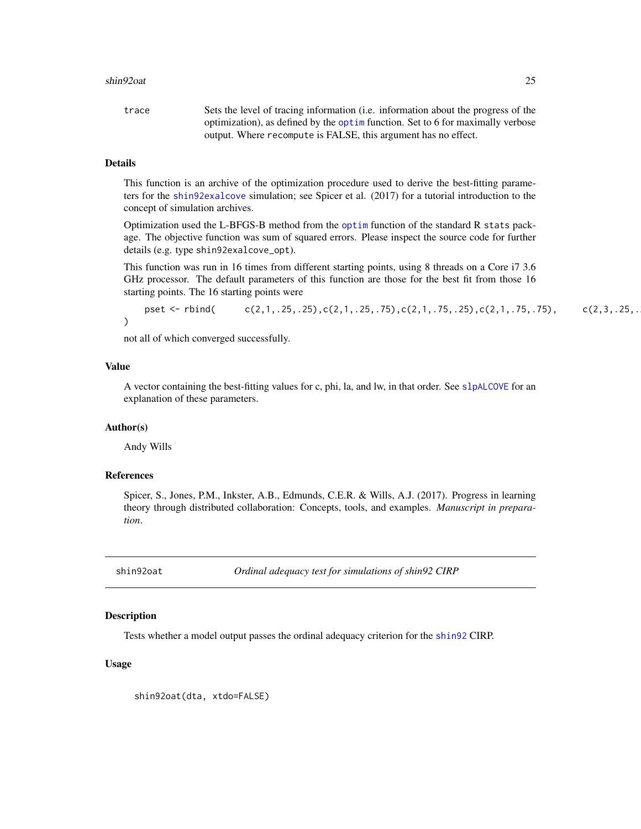#### <span id="page-24-0"></span>shin92oat 25

| trace | Sets the level of tracing information (i.e. information about the progress of the |
|-------|-----------------------------------------------------------------------------------|
|       | optimization), as defined by the optimulation. Set to 6 for maximally verbose     |
|       | output. Where recompute is FALSE, this argument has no effect.                    |

# Details

This function is an archive of the optimization procedure used to derive the best-fitting parameters for the [shin92exalcove](#page-22-1) simulation; see Spicer et al. (2017) for a tutorial introduction to the concept of simulation archives.

Optimization used the L-BFGS-B method from the [optim](#page-0-0) function of the standard R stats package. The objective function was sum of squared errors. Please inspect the source code for further details (e.g. type shin92exalcove\_opt).

This function was run in 16 times from different starting points, using 8 threads on a Core i7 3.6 GHz processor. The default parameters of this function are those for the best fit from those 16 starting points. The 16 starting points were

pset <- rbind( $c(2,1, .25, .25), c(2,1, .25, .75), c(2,1, .75, .25), c(2,1, .75, .75), c(2,3, .25, .$ )

not all of which converged successfully.

#### Value

A vector containing the best-fitting values for c, phi, la, and lw, in that order. See [slpALCOVE](#page-30-1) for an explanation of these parameters.

#### Author(s)

Andy Wills

#### References

Spicer, S., Jones, P.M., Inkster, A.B., Edmunds, C.E.R. & Wills, A.J. (2017). Progress in learning theory through distributed collaboration: Concepts, tools, and examples. *Manuscript in preparation*.

<span id="page-24-1"></span>shin92oat *Ordinal adequacy test for simulations of shin92 CIRP*

#### Description

Tests whether a model output passes the ordinal adequacy criterion for the [shin92](#page-21-1) CIRP.

#### Usage

shin92oat(dta, xtdo=FALSE)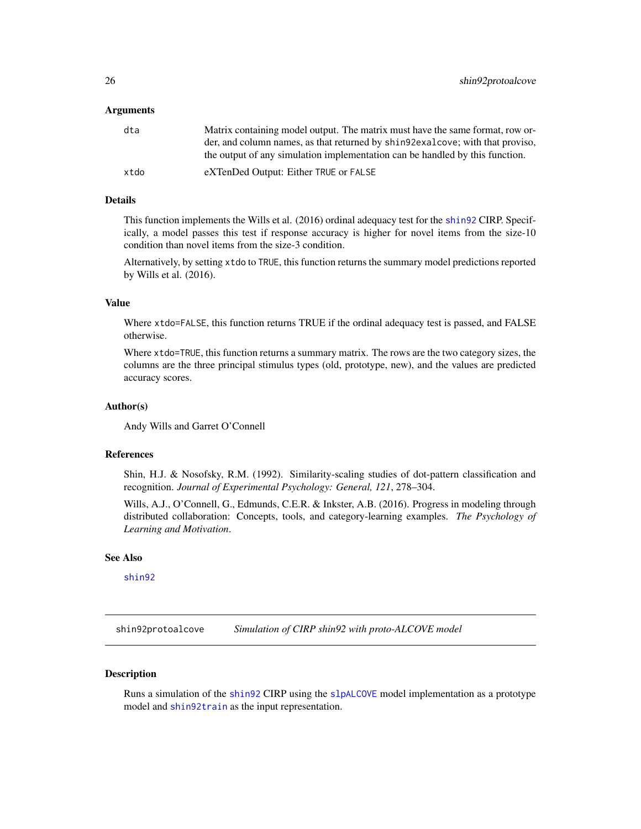#### <span id="page-25-0"></span>Arguments

| dta  | Matrix containing model output. The matrix must have the same format, row or-  |
|------|--------------------------------------------------------------------------------|
|      | der, and column names, as that returned by shings exalcove; with that proviso, |
|      | the output of any simulation implementation can be handled by this function.   |
| xtdo | eXTenDed Output: Either TRUE or FALSE                                          |

# Details

This function implements the Wills et al. (2016) ordinal adequacy test for the [shin92](#page-21-1) CIRP. Specifically, a model passes this test if response accuracy is higher for novel items from the size-10 condition than novel items from the size-3 condition.

Alternatively, by setting xtdo to TRUE, this function returns the summary model predictions reported by Wills et al. (2016).

#### Value

Where xtdo=FALSE, this function returns TRUE if the ordinal adequacy test is passed, and FALSE otherwise.

Where xtdo=TRUE, this function returns a summary matrix. The rows are the two category sizes, the columns are the three principal stimulus types (old, prototype, new), and the values are predicted accuracy scores.

#### Author(s)

Andy Wills and Garret O'Connell

# References

Shin, H.J. & Nosofsky, R.M. (1992). Similarity-scaling studies of dot-pattern classification and recognition. *Journal of Experimental Psychology: General, 121*, 278–304.

Wills, A.J., O'Connell, G., Edmunds, C.E.R. & Inkster, A.B. (2016). Progress in modeling through distributed collaboration: Concepts, tools, and category-learning examples. *The Psychology of Learning and Motivation*.

# See Also

[shin92](#page-21-1)

<span id="page-25-1"></span>shin92protoalcove *Simulation of CIRP shin92 with proto-ALCOVE model*

# Description

Runs a simulation of the [shin92](#page-21-1) CIRP using the [slpALCOVE](#page-30-1) model implementation as a prototype model and [shin92train](#page-28-1) as the input representation.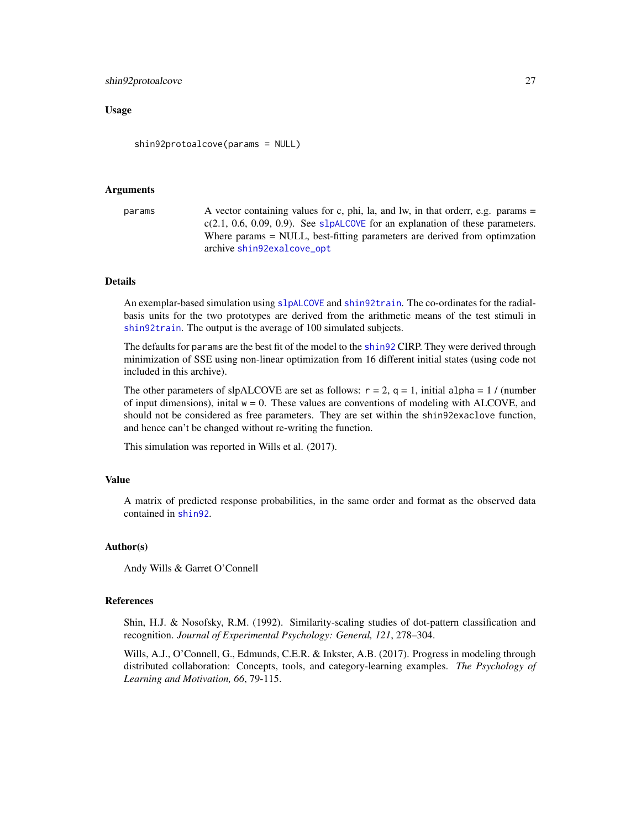#### <span id="page-26-0"></span>shin92protoalcove 27

#### Usage

shin92protoalcove(params = NULL)

#### Arguments

```
params A vector containing values for c, phi, la, and lw, in that orderr, e.g. params =
                 c(2.1, 0.6, 0.09, 0.9)slpALCOVE for an explanation of these parameters.
                 Where params = NULL, best-fitting parameters are derived from optimzation
                 archive shin92exalcove_opt
```
#### Details

An exemplar-based simulation using [slpALCOVE](#page-30-1) and [shin92train](#page-28-1). The co-ordinates for the radialbasis units for the two prototypes are derived from the arithmetic means of the test stimuli in [shin92train](#page-28-1). The output is the average of 100 simulated subjects.

The defaults for params are the best fit of the model to the [shin92](#page-21-1) CIRP. They were derived through minimization of SSE using non-linear optimization from 16 different initial states (using code not included in this archive).

The other parameters of slpALCOVE are set as follows:  $r = 2$ ,  $q = 1$ , initial alpha = 1 / (number of input dimensions), inital  $w = 0$ . These values are conventions of modeling with ALCOVE, and should not be considered as free parameters. They are set within the shin92exaclove function, and hence can't be changed without re-writing the function.

This simulation was reported in Wills et al. (2017).

#### Value

A matrix of predicted response probabilities, in the same order and format as the observed data contained in [shin92](#page-21-1).

# Author(s)

Andy Wills & Garret O'Connell

#### References

Shin, H.J. & Nosofsky, R.M. (1992). Similarity-scaling studies of dot-pattern classification and recognition. *Journal of Experimental Psychology: General, 121*, 278–304.

Wills, A.J., O'Connell, G., Edmunds, C.E.R. & Inkster, A.B. (2017). Progress in modeling through distributed collaboration: Concepts, tools, and category-learning examples. *The Psychology of Learning and Motivation, 66*, 79-115.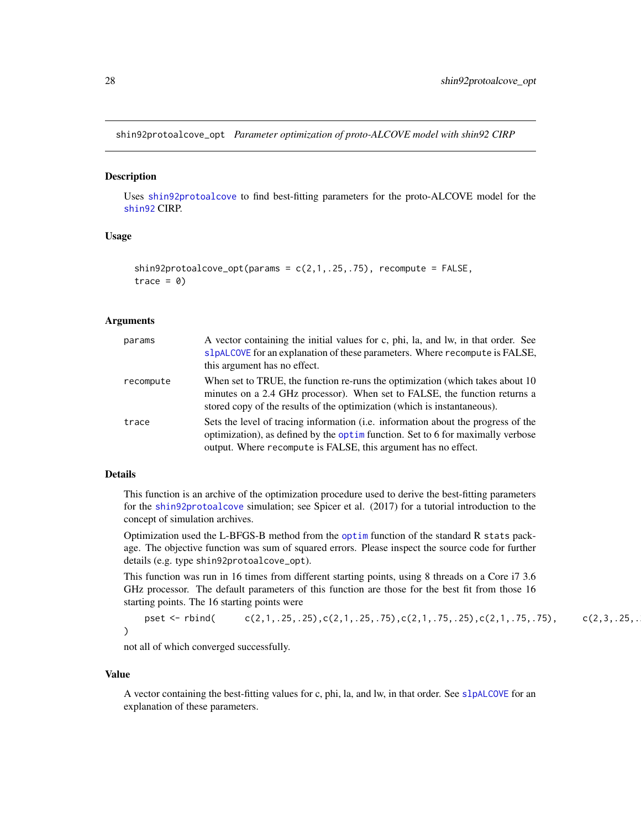<span id="page-27-0"></span>shin92protoalcove\_opt *Parameter optimization of proto-ALCOVE model with shin92 CIRP*

#### **Description**

Uses [shin92protoalcove](#page-25-1) to find best-fitting parameters for the proto-ALCOVE model for the [shin92](#page-21-1) CIRP.

# Usage

```
shin92protoalcove_opt(params = c(2,1,.25,.75), recompute = FALSE,
trace = 0
```
#### Arguments

| params    | A vector containing the initial values for c, phi, la, and lw, in that order. See<br>slpALCOVE for an explanation of these parameters. Where recompute is FALSE,<br>this argument has no effect.                                               |
|-----------|------------------------------------------------------------------------------------------------------------------------------------------------------------------------------------------------------------------------------------------------|
| recompute | When set to TRUE, the function re-runs the optimization (which takes about 10<br>minutes on a 2.4 GHz processor). When set to FALSE, the function returns a<br>stored copy of the results of the optimization (which is instantaneous).        |
| trace     | Sets the level of tracing information ( <i>i.e.</i> information about the progress of the<br>optimization), as defined by the optim function. Set to 6 for maximally verbose<br>output. Where recompute is FALSE, this argument has no effect. |

# Details

This function is an archive of the optimization procedure used to derive the best-fitting parameters for the [shin92protoalcove](#page-25-1) simulation; see Spicer et al. (2017) for a tutorial introduction to the concept of simulation archives.

Optimization used the L-BFGS-B method from the [optim](#page-0-0) function of the standard R stats package. The objective function was sum of squared errors. Please inspect the source code for further details (e.g. type shin92protoalcove\_opt).

This function was run in 16 times from different starting points, using 8 threads on a Core i7 3.6 GHz processor. The default parameters of this function are those for the best fit from those 16 starting points. The 16 starting points were

pset <- rbind( $c(2,1, .25, .25), c(2,1, .25, .75), c(2,1, .75, .25), c(2,1, .75, .75), c(2,3, .25, .$ )

not all of which converged successfully.

#### Value

A vector containing the best-fitting values for c, phi, la, and lw, in that order. See [slpALCOVE](#page-30-1) for an explanation of these parameters.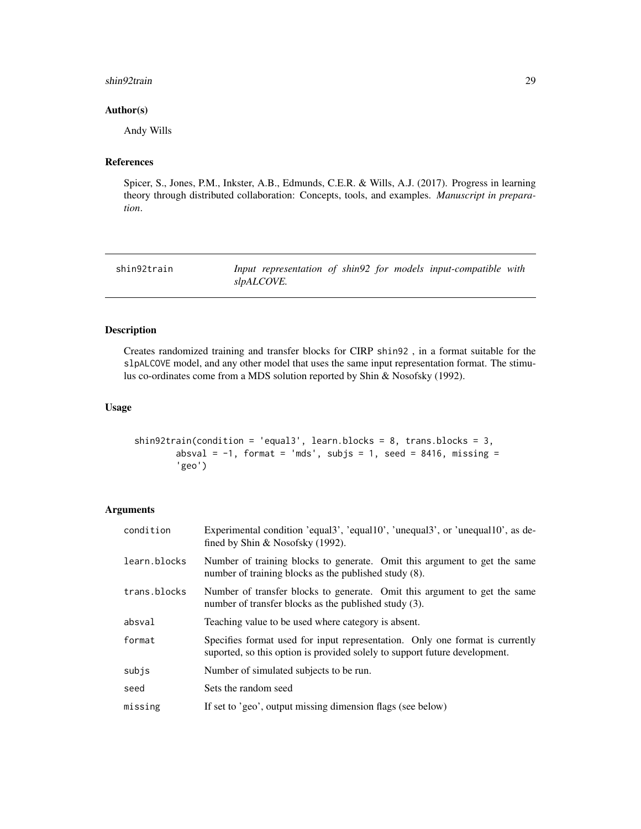#### <span id="page-28-0"></span>shin92train 29

# Author(s)

Andy Wills

# References

Spicer, S., Jones, P.M., Inkster, A.B., Edmunds, C.E.R. & Wills, A.J. (2017). Progress in learning theory through distributed collaboration: Concepts, tools, and examples. *Manuscript in preparation*.

<span id="page-28-1"></span>

| shin92train |            |  |  | Input representation of shin92 for models input-compatible with |  |
|-------------|------------|--|--|-----------------------------------------------------------------|--|
|             | slpALCOVE. |  |  |                                                                 |  |

# Description

Creates randomized training and transfer blocks for CIRP shin92 , in a format suitable for the slpALCOVE model, and any other model that uses the same input representation format. The stimulus co-ordinates come from a MDS solution reported by Shin & Nosofsky (1992).

# Usage

```
shin92train(condition = 'equal3', learn.blocks = 8, trans.blocks = 3,
       absval = -1, format = 'mds', subjs = 1, seed = 8416, missing =
        'geo')
```
# Arguments

| condition    | Experimental condition 'equal3', 'equal10', 'unequal3', or 'unequal10', as de-<br>fined by Shin $\&$ Nosofsky (1992).                                      |
|--------------|------------------------------------------------------------------------------------------------------------------------------------------------------------|
| learn.blocks | Number of training blocks to generate. Omit this argument to get the same<br>number of training blocks as the published study (8).                         |
| trans.blocks | Number of transfer blocks to generate. Omit this argument to get the same<br>number of transfer blocks as the published study (3).                         |
| absval       | Teaching value to be used where category is absent.                                                                                                        |
| format       | Specifies format used for input representation. Only one format is currently<br>suported, so this option is provided solely to support future development. |
| subjs        | Number of simulated subjects to be run.                                                                                                                    |
| seed         | Sets the random seed                                                                                                                                       |
| missing      | If set to 'geo', output missing dimension flags (see below)                                                                                                |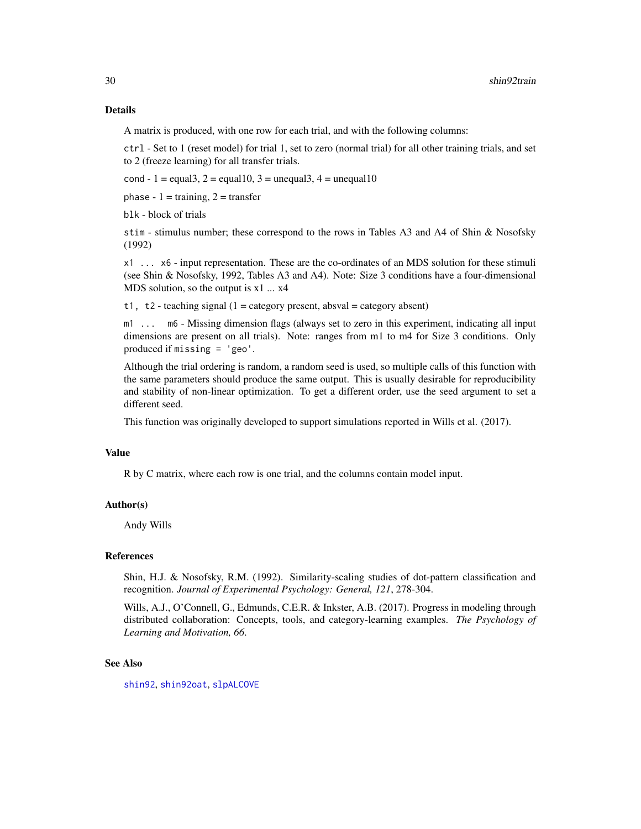# <span id="page-29-0"></span>Details

A matrix is produced, with one row for each trial, and with the following columns:

ctrl - Set to 1 (reset model) for trial 1, set to zero (normal trial) for all other training trials, and set to 2 (freeze learning) for all transfer trials.

cond - 1 = equal3, 2 = equal10, 3 = unequal3, 4 = unequal10

phase -  $1 = \text{training}, 2 = \text{transfer}$ 

blk - block of trials

stim - stimulus number; these correspond to the rows in Tables A3 and A4 of Shin & Nosofsky (1992)

x1 ... x6 - input representation. These are the co-ordinates of an MDS solution for these stimuli (see Shin & Nosofsky, 1992, Tables A3 and A4). Note: Size 3 conditions have a four-dimensional MDS solution, so the output is  $x1$  ...  $x4$ 

t1, t2 - teaching signal  $(1 = \text{category present}, \text{absval} = \text{category absent})$ 

m1 ... m6 - Missing dimension flags (always set to zero in this experiment, indicating all input dimensions are present on all trials). Note: ranges from m1 to m4 for Size 3 conditions. Only produced if missing = 'geo'.

Although the trial ordering is random, a random seed is used, so multiple calls of this function with the same parameters should produce the same output. This is usually desirable for reproducibility and stability of non-linear optimization. To get a different order, use the seed argument to set a different seed.

This function was originally developed to support simulations reported in Wills et al. (2017).

# Value

R by C matrix, where each row is one trial, and the columns contain model input.

# Author(s)

Andy Wills

#### References

Shin, H.J. & Nosofsky, R.M. (1992). Similarity-scaling studies of dot-pattern classification and recognition. *Journal of Experimental Psychology: General, 121*, 278-304.

Wills, A.J., O'Connell, G., Edmunds, C.E.R. & Inkster, A.B. (2017). Progress in modeling through distributed collaboration: Concepts, tools, and category-learning examples. *The Psychology of Learning and Motivation, 66*.

#### See Also

[shin92](#page-21-1), [shin92oat](#page-24-1), [slpALCOVE](#page-30-1)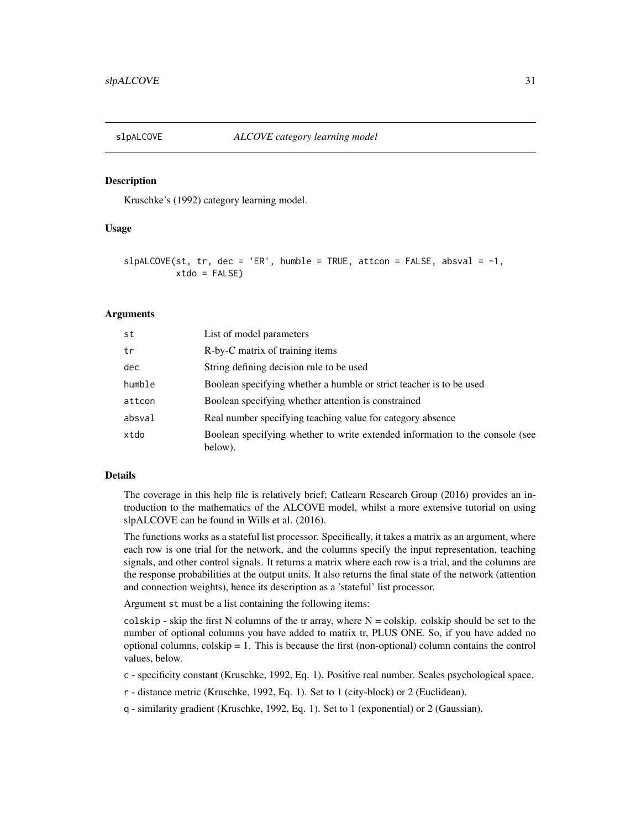<span id="page-30-1"></span><span id="page-30-0"></span>

#### Description

Kruschke's (1992) category learning model.

#### Usage

```
slpALCOVE(st, tr, dec = 'ER', humble = TRUE, attcon = FALSE, absval = -1,xtdo = FALSE
```
#### Arguments

| st     | List of model parameters                                                                |
|--------|-----------------------------------------------------------------------------------------|
| tr     | R-by-C matrix of training items                                                         |
| dec    | String defining decision rule to be used                                                |
| humble | Boolean specifying whether a humble or strict teacher is to be used                     |
| attcon | Boolean specifying whether attention is constrained                                     |
| absval | Real number specifying teaching value for category absence                              |
| xtdo   | Boolean specifying whether to write extended information to the console (see<br>below). |

#### Details

The coverage in this help file is relatively brief; Catlearn Research Group (2016) provides an introduction to the mathematics of the ALCOVE model, whilst a more extensive tutorial on using slpALCOVE can be found in Wills et al. (2016).

The functions works as a stateful list processor. Specifically, it takes a matrix as an argument, where each row is one trial for the network, and the columns specify the input representation, teaching signals, and other control signals. It returns a matrix where each row is a trial, and the columns are the response probabilities at the output units. It also returns the final state of the network (attention and connection weights), hence its description as a 'stateful' list processor.

Argument st must be a list containing the following items:

colskip - skip the first N columns of the tr array, where  $N = \text{colskip}$ . colskip should be set to the number of optional columns you have added to matrix tr, PLUS ONE. So, if you have added no optional columns, colskip  $= 1$ . This is because the first (non-optional) column contains the control values, below.

c - specificity constant (Kruschke, 1992, Eq. 1). Positive real number. Scales psychological space.

r - distance metric (Kruschke, 1992, Eq. 1). Set to 1 (city-block) or 2 (Euclidean).

q - similarity gradient (Kruschke, 1992, Eq. 1). Set to 1 (exponential) or 2 (Gaussian).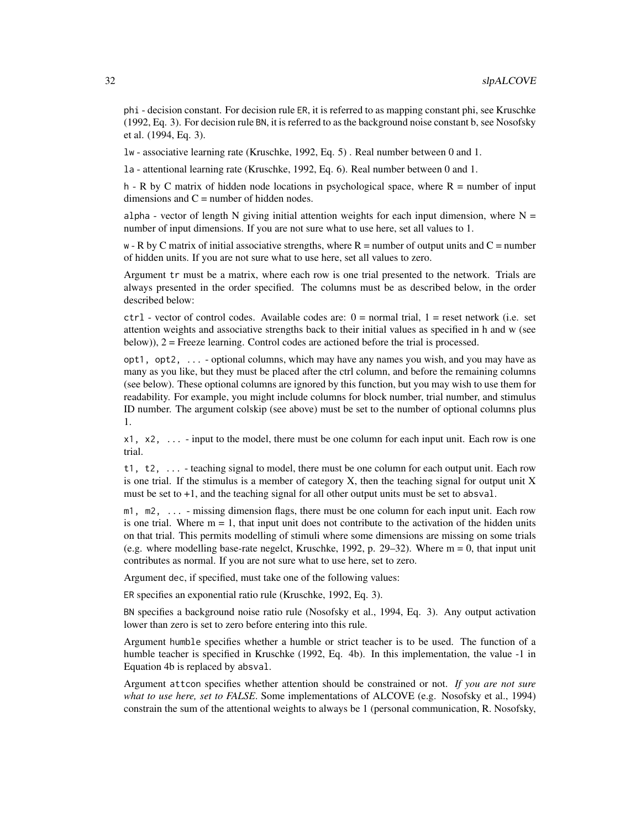phi - decision constant. For decision rule ER, it is referred to as mapping constant phi, see Kruschke (1992, Eq. 3). For decision rule BN, it is referred to as the background noise constant b, see Nosofsky et al. (1994, Eq. 3).

lw - associative learning rate (Kruschke, 1992, Eq. 5) . Real number between 0 and 1.

la - attentional learning rate (Kruschke, 1992, Eq. 6). Real number between 0 and 1.

h - R by C matrix of hidden node locations in psychological space, where  $R =$  number of input dimensions and  $C =$  number of hidden nodes.

alpha - vector of length N giving initial attention weights for each input dimension, where  $N =$ number of input dimensions. If you are not sure what to use here, set all values to 1.

 $w - R$  by C matrix of initial associative strengths, where  $R =$  number of output units and  $C =$  number of hidden units. If you are not sure what to use here, set all values to zero.

Argument tr must be a matrix, where each row is one trial presented to the network. Trials are always presented in the order specified. The columns must be as described below, in the order described below:

 $ctrl - vector$  of control codes. Available codes are:  $0 = normal trial$ ,  $1 = reset$  network (i.e. set attention weights and associative strengths back to their initial values as specified in h and w (see below)), 2 = Freeze learning. Control codes are actioned before the trial is processed.

opt1, opt2, ... - optional columns, which may have any names you wish, and you may have as many as you like, but they must be placed after the ctrl column, and before the remaining columns (see below). These optional columns are ignored by this function, but you may wish to use them for readability. For example, you might include columns for block number, trial number, and stimulus ID number. The argument colskip (see above) must be set to the number of optional columns plus 1.

 $x1, x2, \ldots$  - input to the model, there must be one column for each input unit. Each row is one trial.

t1, t2, ... - teaching signal to model, there must be one column for each output unit. Each row is one trial. If the stimulus is a member of category  $X$ , then the teaching signal for output unit  $X$ must be set to  $+1$ , and the teaching signal for all other output units must be set to absval.

m1, m2, ... - missing dimension flags, there must be one column for each input unit. Each row is one trial. Where  $m = 1$ , that input unit does not contribute to the activation of the hidden units on that trial. This permits modelling of stimuli where some dimensions are missing on some trials (e.g. where modelling base-rate negelct, Kruschke, 1992, p. 29–32). Where m = 0, that input unit contributes as normal. If you are not sure what to use here, set to zero.

Argument dec, if specified, must take one of the following values:

ER specifies an exponential ratio rule (Kruschke, 1992, Eq. 3).

BN specifies a background noise ratio rule (Nosofsky et al., 1994, Eq. 3). Any output activation lower than zero is set to zero before entering into this rule.

Argument humble specifies whether a humble or strict teacher is to be used. The function of a humble teacher is specified in Kruschke (1992, Eq. 4b). In this implementation, the value -1 in Equation 4b is replaced by absval.

Argument attcon specifies whether attention should be constrained or not. *If you are not sure what to use here, set to FALSE*. Some implementations of ALCOVE (e.g. Nosofsky et al., 1994) constrain the sum of the attentional weights to always be 1 (personal communication, R. Nosofsky,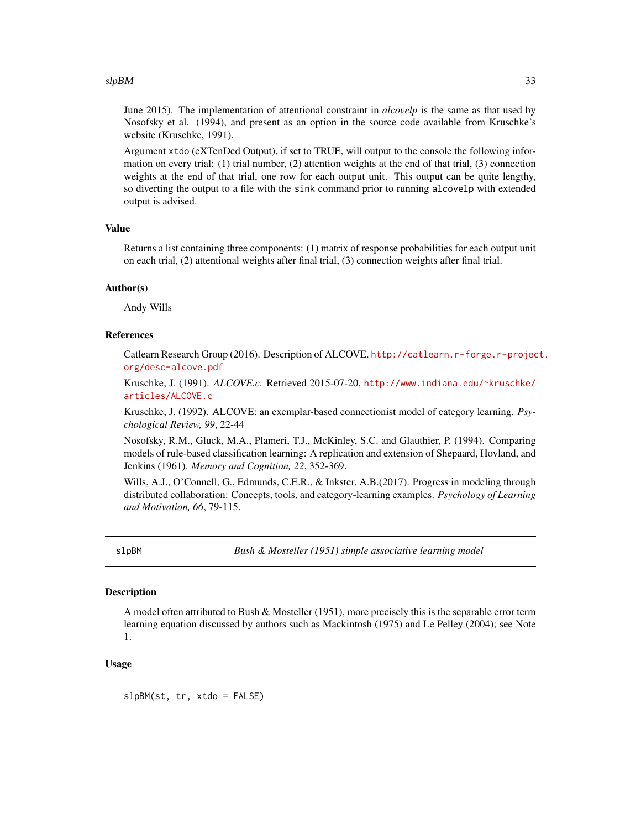#### <span id="page-32-0"></span> $slpBM$  33

June 2015). The implementation of attentional constraint in *alcovelp* is the same as that used by Nosofsky et al. (1994), and present as an option in the source code available from Kruschke's website (Kruschke, 1991).

Argument xtdo (eXTenDed Output), if set to TRUE, will output to the console the following information on every trial: (1) trial number, (2) attention weights at the end of that trial, (3) connection weights at the end of that trial, one row for each output unit. This output can be quite lengthy, so diverting the output to a file with the sink command prior to running alcovelp with extended output is advised.

#### Value

Returns a list containing three components: (1) matrix of response probabilities for each output unit on each trial, (2) attentional weights after final trial, (3) connection weights after final trial.

#### Author(s)

Andy Wills

# References

Catlearn Research Group (2016). Description of ALCOVE. [http://catlearn.r-forge.r-projec](http://catlearn.r-forge.r-project.org/desc-alcove.pdf)t. [org/desc-alcove.pdf](http://catlearn.r-forge.r-project.org/desc-alcove.pdf)

Kruschke, J. (1991). *ALCOVE.c*. Retrieved 2015-07-20, [http://www.indiana.edu/~kruschke/](http://www.indiana.edu/~kruschke/articles/ALCOVE.c) [articles/ALCOVE.c](http://www.indiana.edu/~kruschke/articles/ALCOVE.c)

Kruschke, J. (1992). ALCOVE: an exemplar-based connectionist model of category learning. *Psychological Review, 99*, 22-44

Nosofsky, R.M., Gluck, M.A., Plameri, T.J., McKinley, S.C. and Glauthier, P. (1994). Comparing models of rule-based classification learning: A replication and extension of Shepaard, Hovland, and Jenkins (1961). *Memory and Cognition, 22*, 352-369.

Wills, A.J., O'Connell, G., Edmunds, C.E.R., & Inkster, A.B.(2017). Progress in modeling through distributed collaboration: Concepts, tools, and category-learning examples. *Psychology of Learning and Motivation, 66*, 79-115.

slpBM *Bush & Mosteller (1951) simple associative learning model*

### Description

A model often attributed to Bush & Mosteller (1951), more precisely this is the separable error term learning equation discussed by authors such as Mackintosh (1975) and Le Pelley (2004); see Note 1.

#### Usage

slpBM(st, tr, xtdo = FALSE)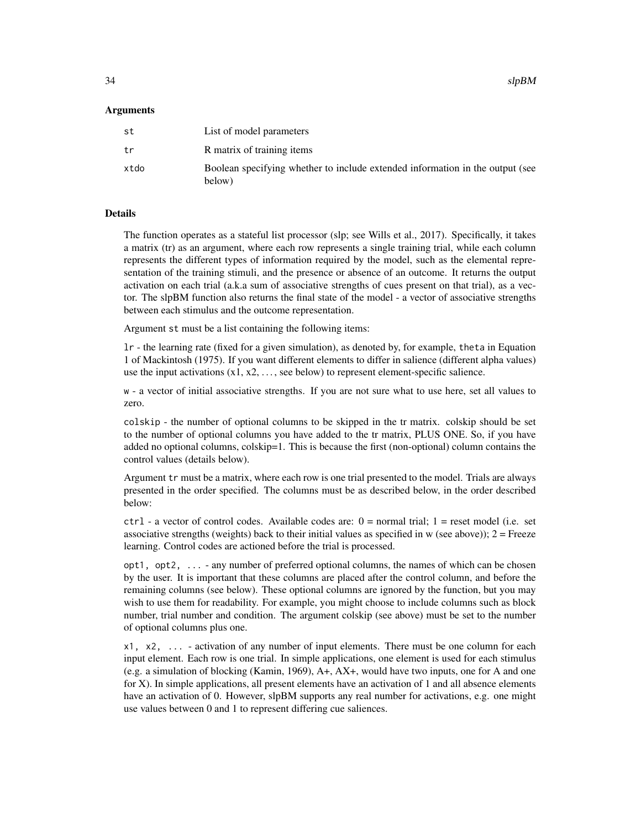$34$  slpBM

#### Arguments

| st   | List of model parameters                                                                |
|------|-----------------------------------------------------------------------------------------|
| tr   | R matrix of training items                                                              |
| xtdo | Boolean specifying whether to include extended information in the output (see<br>below) |

#### Details

The function operates as a stateful list processor (slp; see Wills et al., 2017). Specifically, it takes a matrix (tr) as an argument, where each row represents a single training trial, while each column represents the different types of information required by the model, such as the elemental representation of the training stimuli, and the presence or absence of an outcome. It returns the output activation on each trial (a.k.a sum of associative strengths of cues present on that trial), as a vector. The slpBM function also returns the final state of the model - a vector of associative strengths between each stimulus and the outcome representation.

Argument st must be a list containing the following items:

lr - the learning rate (fixed for a given simulation), as denoted by, for example, theta in Equation 1 of Mackintosh (1975). If you want different elements to differ in salience (different alpha values) use the input activations  $(x1, x2, \ldots,$  see below) to represent element-specific salience.

w - a vector of initial associative strengths. If you are not sure what to use here, set all values to zero.

colskip - the number of optional columns to be skipped in the tr matrix. colskip should be set to the number of optional columns you have added to the tr matrix, PLUS ONE. So, if you have added no optional columns, colskip=1. This is because the first (non-optional) column contains the control values (details below).

Argument tr must be a matrix, where each row is one trial presented to the model. Trials are always presented in the order specified. The columns must be as described below, in the order described below:

 $ctrl - a$  vector of control codes. Available codes are:  $0 = normal trial$ ;  $1 = reset model$  (i.e. set associative strengths (weights) back to their initial values as specified in w (see above)); 2 = Freeze learning. Control codes are actioned before the trial is processed.

opt1, opt2, ... - any number of preferred optional columns, the names of which can be chosen by the user. It is important that these columns are placed after the control column, and before the remaining columns (see below). These optional columns are ignored by the function, but you may wish to use them for readability. For example, you might choose to include columns such as block number, trial number and condition. The argument colskip (see above) must be set to the number of optional columns plus one.

x1, x2, ... - activation of any number of input elements. There must be one column for each input element. Each row is one trial. In simple applications, one element is used for each stimulus (e.g. a simulation of blocking (Kamin, 1969), A+, AX+, would have two inputs, one for A and one for X). In simple applications, all present elements have an activation of 1 and all absence elements have an activation of 0. However, slpBM supports any real number for activations, e.g. one might use values between 0 and 1 to represent differing cue saliences.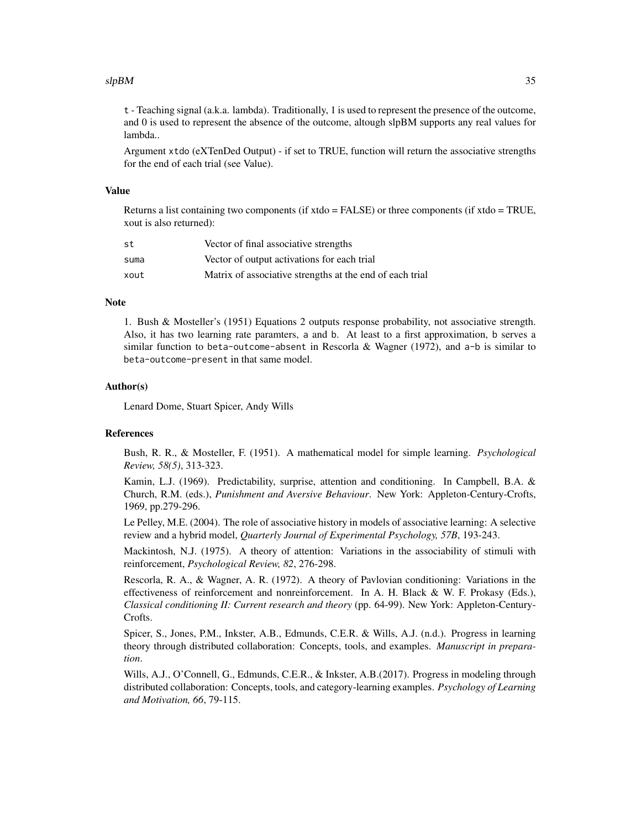#### $slpBM$  35

t - Teaching signal (a.k.a. lambda). Traditionally, 1 is used to represent the presence of the outcome, and 0 is used to represent the absence of the outcome, altough slpBM supports any real values for lambda..

Argument xtdo (eXTenDed Output) - if set to TRUE, function will return the associative strengths for the end of each trial (see Value).

#### Value

Returns a list containing two components (if  $xtdo = FALSE$ ) or three components (if  $xtdo = TRUE$ , xout is also returned):

| st   | Vector of final associative strengths                    |
|------|----------------------------------------------------------|
| suma | Vector of output activations for each trial              |
| xout | Matrix of associative strengths at the end of each trial |

### **Note**

1. Bush & Mosteller's (1951) Equations 2 outputs response probability, not associative strength. Also, it has two learning rate paramters, a and b. At least to a first approximation, b serves a similar function to beta-outcome-absent in Rescorla & Wagner (1972), and  $a-b$  is similar to beta-outcome-present in that same model.

#### Author(s)

Lenard Dome, Stuart Spicer, Andy Wills

#### References

Bush, R. R., & Mosteller, F. (1951). A mathematical model for simple learning. *Psychological Review, 58(5)*, 313-323.

Kamin, L.J. (1969). Predictability, surprise, attention and conditioning. In Campbell, B.A. & Church, R.M. (eds.), *Punishment and Aversive Behaviour*. New York: Appleton-Century-Crofts, 1969, pp.279-296.

Le Pelley, M.E. (2004). The role of associative history in models of associative learning: A selective review and a hybrid model, *Quarterly Journal of Experimental Psychology, 57B*, 193-243.

Mackintosh, N.J. (1975). A theory of attention: Variations in the associability of stimuli with reinforcement, *Psychological Review, 82*, 276-298.

Rescorla, R. A., & Wagner, A. R. (1972). A theory of Pavlovian conditioning: Variations in the effectiveness of reinforcement and nonreinforcement. In A. H. Black & W. F. Prokasy (Eds.), *Classical conditioning II: Current research and theory* (pp. 64-99). New York: Appleton-Century-Crofts.

Spicer, S., Jones, P.M., Inkster, A.B., Edmunds, C.E.R. & Wills, A.J. (n.d.). Progress in learning theory through distributed collaboration: Concepts, tools, and examples. *Manuscript in preparation*.

Wills, A.J., O'Connell, G., Edmunds, C.E.R., & Inkster, A.B.(2017). Progress in modeling through distributed collaboration: Concepts, tools, and category-learning examples. *Psychology of Learning and Motivation, 66*, 79-115.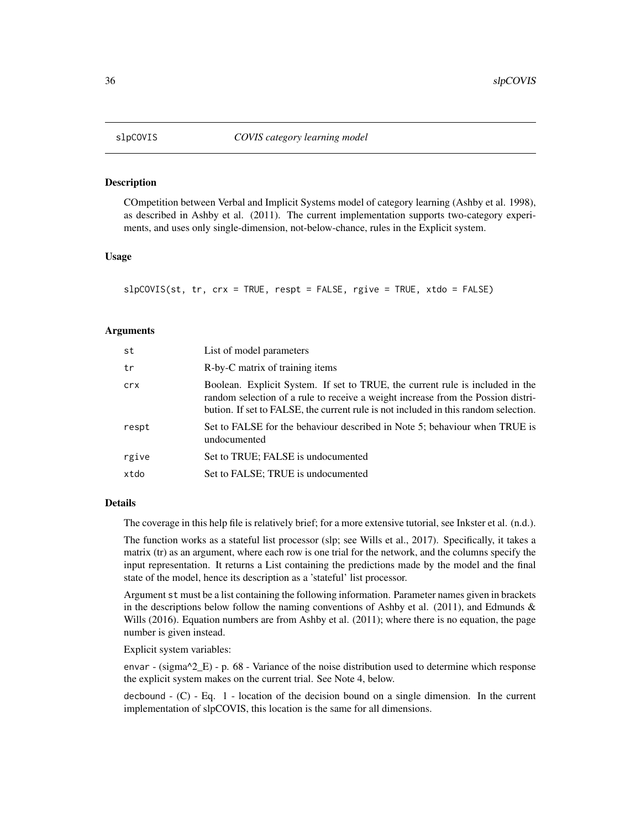<span id="page-35-0"></span>

#### Description

COmpetition between Verbal and Implicit Systems model of category learning (Ashby et al. 1998), as described in Ashby et al. (2011). The current implementation supports two-category experiments, and uses only single-dimension, not-below-chance, rules in the Explicit system.

#### Usage

slpCOVIS(st, tr, crx = TRUE, respt = FALSE, rgive = TRUE, xtdo = FALSE)

#### Arguments

| st    | List of model parameters                                                                                                                                                                                                                                 |
|-------|----------------------------------------------------------------------------------------------------------------------------------------------------------------------------------------------------------------------------------------------------------|
| tr    | R-by-C matrix of training items                                                                                                                                                                                                                          |
| crx   | Boolean. Explicit System. If set to TRUE, the current rule is included in the<br>random selection of a rule to receive a weight increase from the Possion distri-<br>bution. If set to FALSE, the current rule is not included in this random selection. |
| respt | Set to FALSE for the behaviour described in Note 5; behaviour when TRUE is<br>undocumented                                                                                                                                                               |
| rgive | Set to TRUE; FALSE is undocumented                                                                                                                                                                                                                       |
| xtdo  | Set to FALSE; TRUE is undocumented                                                                                                                                                                                                                       |

#### Details

The coverage in this help file is relatively brief; for a more extensive tutorial, see Inkster et al. (n.d.).

The function works as a stateful list processor (slp; see Wills et al., 2017). Specifically, it takes a matrix (tr) as an argument, where each row is one trial for the network, and the columns specify the input representation. It returns a List containing the predictions made by the model and the final state of the model, hence its description as a 'stateful' list processor.

Argument st must be a list containing the following information. Parameter names given in brackets in the descriptions below follow the naming conventions of Ashby et al. (2011), and Edmunds  $\&$ Wills (2016). Equation numbers are from Ashby et al. (2011); where there is no equation, the page number is given instead.

Explicit system variables:

envar - (sigma $^2$ \_E) - p. 68 - Variance of the noise distribution used to determine which response the explicit system makes on the current trial. See Note 4, below.

decbound  $-$  (C)  $-$  Eq. 1  $-$  location of the decision bound on a single dimension. In the current implementation of slpCOVIS, this location is the same for all dimensions.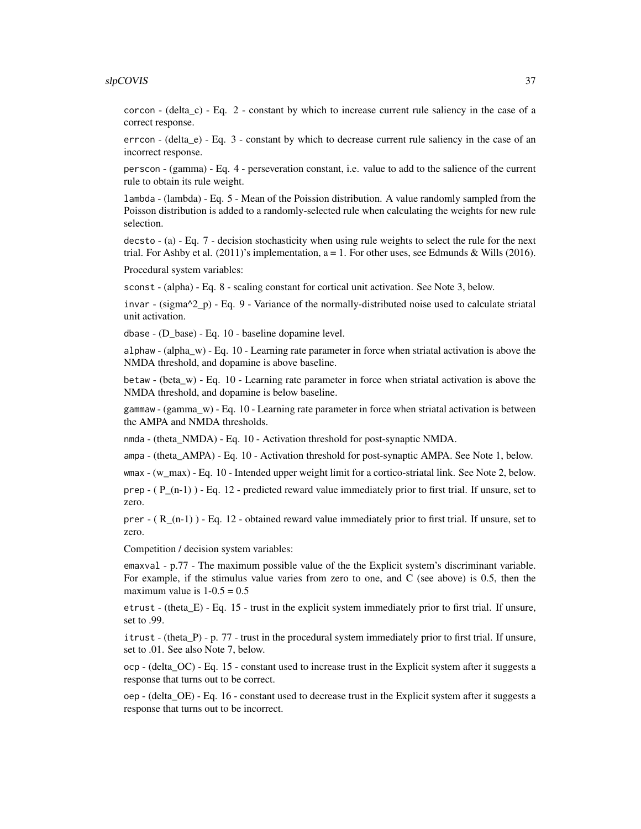#### slpCOVIS 37

corcon - (delta\_c) - Eq. 2 - constant by which to increase current rule saliency in the case of a correct response.

errcon - (delta\_e) - Eq. 3 - constant by which to decrease current rule saliency in the case of an incorrect response.

perscon - (gamma) - Eq. 4 - perseveration constant, i.e. value to add to the salience of the current rule to obtain its rule weight.

lambda - (lambda) - Eq. 5 - Mean of the Poission distribution. A value randomly sampled from the Poisson distribution is added to a randomly-selected rule when calculating the weights for new rule selection.

decsto - (a) - Eq. 7 - decision stochasticity when using rule weights to select the rule for the next trial. For Ashby et al.  $(2011)'$ s implementation, a = 1. For other uses, see Edmunds & Wills  $(2016)$ .

Procedural system variables:

sconst - (alpha) - Eq. 8 - scaling constant for cortical unit activation. See Note 3, below.

invar - (sigma^2\_p) - Eq. 9 - Variance of the normally-distributed noise used to calculate striatal unit activation.

dbase - (D\_base) - Eq. 10 - baseline dopamine level.

alphaw - (alpha\_w) - Eq. 10 - Learning rate parameter in force when striatal activation is above the NMDA threshold, and dopamine is above baseline.

betaw - (beta\_w) - Eq. 10 - Learning rate parameter in force when striatal activation is above the NMDA threshold, and dopamine is below baseline.

gammaw - (gamma\_w) - Eq. 10 - Learning rate parameter in force when striatal activation is between the AMPA and NMDA thresholds.

nmda - (theta\_NMDA) - Eq. 10 - Activation threshold for post-synaptic NMDA.

ampa - (theta\_AMPA) - Eq. 10 - Activation threshold for post-synaptic AMPA. See Note 1, below.

wmax - (w\_max) - Eq. 10 - Intended upper weight limit for a cortico-striatal link. See Note 2, below.

prep  $-$  ( $P_{n-1}$ ) - Eq. 12 - predicted reward value immediately prior to first trial. If unsure, set to zero.

prer  $-$  ( R (n-1) ) - Eq. 12 - obtained reward value immediately prior to first trial. If unsure, set to zero.

Competition / decision system variables:

emaxval - p.77 - The maximum possible value of the the Explicit system's discriminant variable. For example, if the stimulus value varies from zero to one, and C (see above) is 0.5, then the maximum value is  $1-0.5 = 0.5$ 

etrust - (theta $E$ ) - Eq. 15 - trust in the explicit system immediately prior to first trial. If unsure, set to .99.

itrust - (theta\_P) - p. 77 - trust in the procedural system immediately prior to first trial. If unsure, set to .01. See also Note 7, below.

ocp - (delta\_OC) - Eq. 15 - constant used to increase trust in the Explicit system after it suggests a response that turns out to be correct.

oep - (delta\_OE) - Eq. 16 - constant used to decrease trust in the Explicit system after it suggests a response that turns out to be incorrect.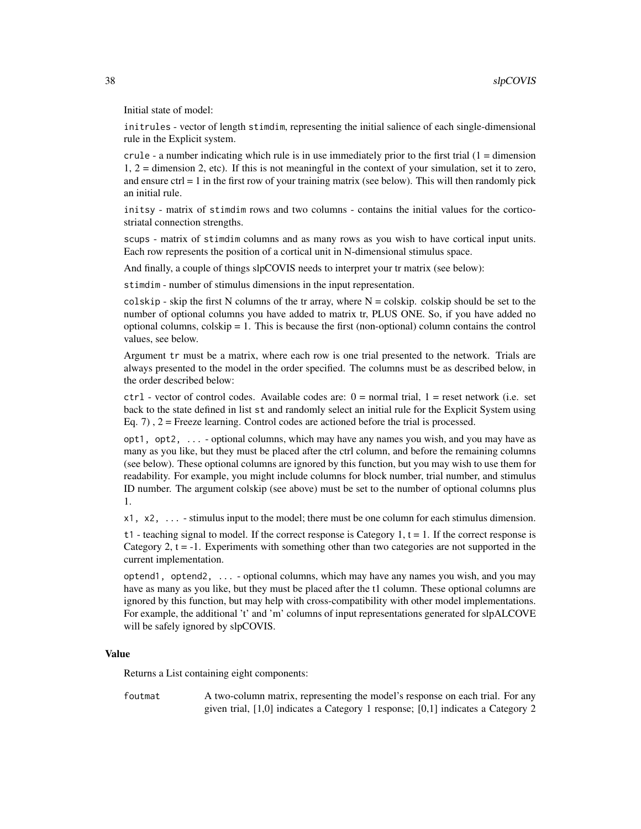Initial state of model:

initrules - vector of length stimdim, representing the initial salience of each single-dimensional rule in the Explicit system.

crule - a number indicating which rule is in use immediately prior to the first trial  $(1 =$  dimension 1, 2 = dimension 2, etc). If this is not meaningful in the context of your simulation, set it to zero, and ensure  $ctrl = 1$  in the first row of your training matrix (see below). This will then randomly pick an initial rule.

initsy - matrix of stimdim rows and two columns - contains the initial values for the corticostriatal connection strengths.

scups - matrix of stimdim columns and as many rows as you wish to have cortical input units. Each row represents the position of a cortical unit in N-dimensional stimulus space.

And finally, a couple of things slpCOVIS needs to interpret your tr matrix (see below):

stimdim - number of stimulus dimensions in the input representation.

colskip - skip the first N columns of the tr array, where  $N = \text{colskip}$ . colskip should be set to the number of optional columns you have added to matrix tr, PLUS ONE. So, if you have added no optional columns, colskip = 1. This is because the first (non-optional) column contains the control values, see below.

Argument tr must be a matrix, where each row is one trial presented to the network. Trials are always presented to the model in the order specified. The columns must be as described below, in the order described below:

 $ctrl - vector$  of control codes. Available codes are:  $0 = normal trial$ ,  $1 = reset$  network (i.e. set back to the state defined in list st and randomly select an initial rule for the Explicit System using Eq. 7),  $2 =$  Freeze learning. Control codes are actioned before the trial is processed.

opt1, opt2, ... - optional columns, which may have any names you wish, and you may have as many as you like, but they must be placed after the ctrl column, and before the remaining columns (see below). These optional columns are ignored by this function, but you may wish to use them for readability. For example, you might include columns for block number, trial number, and stimulus ID number. The argument colskip (see above) must be set to the number of optional columns plus 1.

x1, x2, ... - stimulus input to the model; there must be one column for each stimulus dimension.

t1 - teaching signal to model. If the correct response is Category 1,  $t = 1$ . If the correct response is Category 2,  $t = -1$ . Experiments with something other than two categories are not supported in the current implementation.

optend1, optend2, ... - optional columns, which may have any names you wish, and you may have as many as you like, but they must be placed after the t1 column. These optional columns are ignored by this function, but may help with cross-compatibility with other model implementations. For example, the additional 't' and 'm' columns of input representations generated for slpALCOVE will be safely ignored by slpCOVIS.

#### Value

Returns a List containing eight components:

foutmat A two-column matrix, representing the model's response on each trial. For any given trial, [1,0] indicates a Category 1 response; [0,1] indicates a Category 2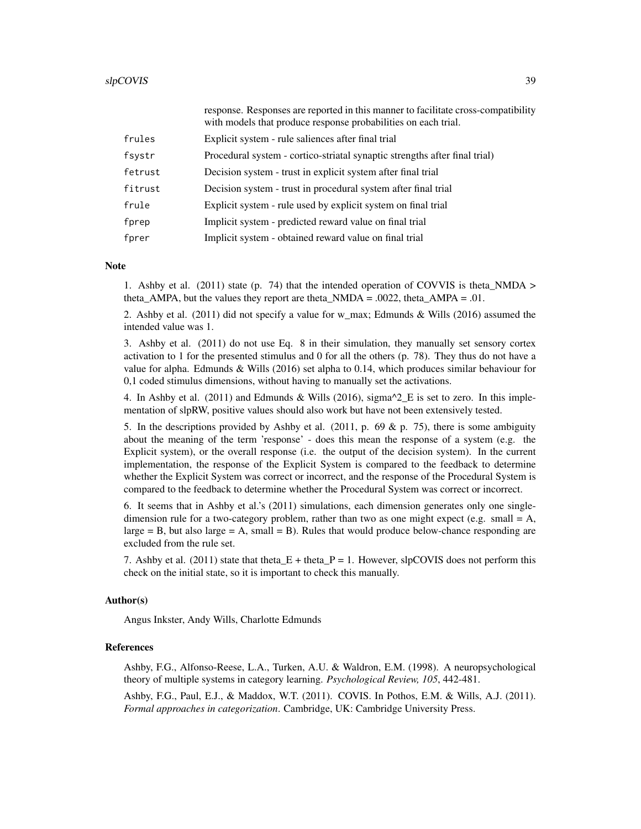|         | response. Responses are reported in this manner to facilitate cross-compatibility<br>with models that produce response probabilities on each trial. |
|---------|-----------------------------------------------------------------------------------------------------------------------------------------------------|
| frules  | Explicit system - rule saliences after final trial                                                                                                  |
| fsystr  | Procedural system - cortico-striatal synaptic strengths after final trial)                                                                          |
| fetrust | Decision system - trust in explicit system after final trial                                                                                        |
| fitrust | Decision system - trust in procedural system after final trial                                                                                      |
| frule   | Explicit system - rule used by explicit system on final trial                                                                                       |
| fprep   | Implicit system - predicted reward value on final trial                                                                                             |
| fprer   | Implicit system - obtained reward value on final trial                                                                                              |

#### **Note**

1. Ashby et al. (2011) state (p. 74) that the intended operation of COVVIS is theta\_NMDA > theta\_AMPA, but the values they report are theta\_NMDA =  $.0022$ , theta\_AMPA =  $.01$ .

2. Ashby et al. (2011) did not specify a value for w\_max; Edmunds & Wills (2016) assumed the intended value was 1.

3. Ashby et al. (2011) do not use Eq. 8 in their simulation, they manually set sensory cortex activation to 1 for the presented stimulus and 0 for all the others (p. 78). They thus do not have a value for alpha. Edmunds & Wills (2016) set alpha to 0.14, which produces similar behaviour for 0,1 coded stimulus dimensions, without having to manually set the activations.

4. In Ashby et al. (2011) and Edmunds & Wills (2016), sigma $^2$ <sub>E</sub> is set to zero. In this implementation of slpRW, positive values should also work but have not been extensively tested.

5. In the descriptions provided by Ashby et al. (2011, p. 69 & p. 75), there is some ambiguity about the meaning of the term 'response' - does this mean the response of a system (e.g. the Explicit system), or the overall response (i.e. the output of the decision system). In the current implementation, the response of the Explicit System is compared to the feedback to determine whether the Explicit System was correct or incorrect, and the response of the Procedural System is compared to the feedback to determine whether the Procedural System was correct or incorrect.

6. It seems that in Ashby et al.'s (2011) simulations, each dimension generates only one singledimension rule for a two-category problem, rather than two as one might expect (e.g. small  $= A$ ,  $\text{large} = B$ , but also large = A, small = B). Rules that would produce below-chance responding are excluded from the rule set.

7. Ashby et al. (2011) state that theta  $E +$  theta  $P = 1$ . However, slpCOVIS does not perform this check on the initial state, so it is important to check this manually.

#### Author(s)

Angus Inkster, Andy Wills, Charlotte Edmunds

# References

Ashby, F.G., Alfonso-Reese, L.A., Turken, A.U. & Waldron, E.M. (1998). A neuropsychological theory of multiple systems in category learning. *Psychological Review, 105*, 442-481.

Ashby, F.G., Paul, E.J., & Maddox, W.T. (2011). COVIS. In Pothos, E.M. & Wills, A.J. (2011). *Formal approaches in categorization*. Cambridge, UK: Cambridge University Press.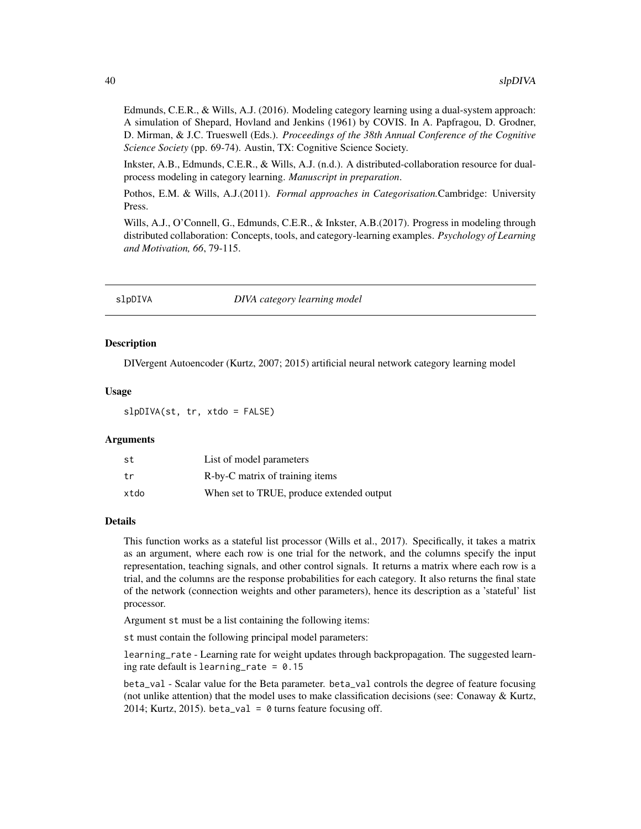<span id="page-39-0"></span>Edmunds, C.E.R., & Wills, A.J. (2016). Modeling category learning using a dual-system approach: A simulation of Shepard, Hovland and Jenkins (1961) by COVIS. In A. Papfragou, D. Grodner, D. Mirman, & J.C. Trueswell (Eds.). *Proceedings of the 38th Annual Conference of the Cognitive Science Society* (pp. 69-74). Austin, TX: Cognitive Science Society.

Inkster, A.B., Edmunds, C.E.R., & Wills, A.J. (n.d.). A distributed-collaboration resource for dualprocess modeling in category learning. *Manuscript in preparation*.

Pothos, E.M. & Wills, A.J.(2011). *Formal approaches in Categorisation.*Cambridge: University Press.

Wills, A.J., O'Connell, G., Edmunds, C.E.R., & Inkster, A.B.(2017). Progress in modeling through distributed collaboration: Concepts, tools, and category-learning examples. *Psychology of Learning and Motivation, 66*, 79-115.

slpDIVA *DIVA category learning model*

# Description

DIVergent Autoencoder (Kurtz, 2007; 2015) artificial neural network category learning model

#### Usage

slpDIVA(st, tr, xtdo = FALSE)

#### Arguments

| st   | List of model parameters                  |
|------|-------------------------------------------|
| t.r  | R-by-C matrix of training items           |
| xtdo | When set to TRUE, produce extended output |

#### Details

This function works as a stateful list processor (Wills et al., 2017). Specifically, it takes a matrix as an argument, where each row is one trial for the network, and the columns specify the input representation, teaching signals, and other control signals. It returns a matrix where each row is a trial, and the columns are the response probabilities for each category. It also returns the final state of the network (connection weights and other parameters), hence its description as a 'stateful' list processor.

Argument st must be a list containing the following items:

st must contain the following principal model parameters:

learning\_rate - Learning rate for weight updates through backpropagation. The suggested learning rate default is learning\_rate =  $0.15$ 

beta\_val - Scalar value for the Beta parameter. beta\_val controls the degree of feature focusing (not unlike attention) that the model uses to make classification decisions (see: Conaway  $\&$  Kurtz, 2014; Kurtz, 2015). beta\_val =  $\theta$  turns feature focusing off.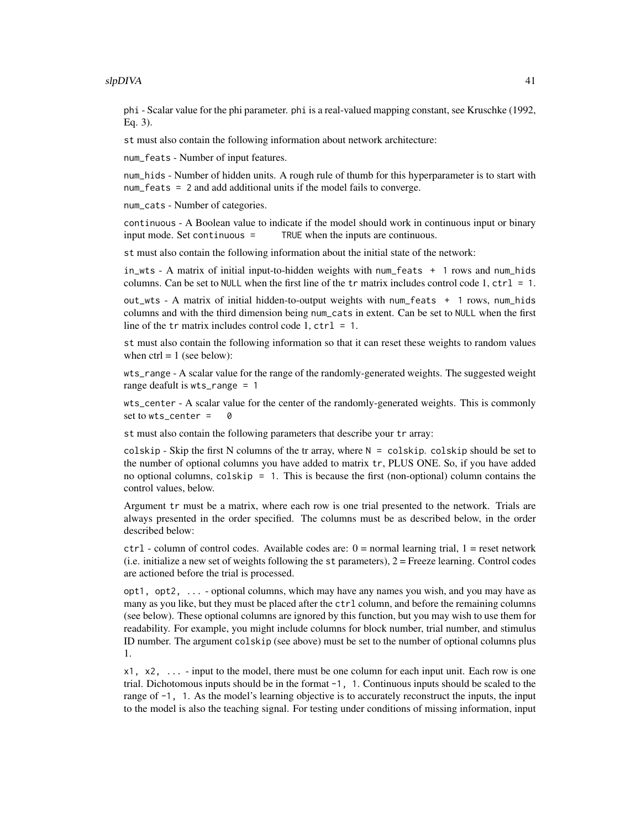phi - Scalar value for the phi parameter. phi is a real-valued mapping constant, see Kruschke (1992, Eq. 3).

st must also contain the following information about network architecture:

num\_feats - Number of input features.

num\_hids - Number of hidden units. A rough rule of thumb for this hyperparameter is to start with num\_feats = 2 and add additional units if the model fails to converge.

num\_cats - Number of categories.

continuous - A Boolean value to indicate if the model should work in continuous input or binary input mode. Set continuous = TRUE when the inputs are continuous.

st must also contain the following information about the initial state of the network:

in\_wts - A matrix of initial input-to-hidden weights with num\_feats + 1 rows and num\_hids columns. Can be set to NULL when the first line of the  $tr$  matrix includes control code 1,  $ctrl = 1$ .

out\_wts - A matrix of initial hidden-to-output weights with num\_feats + 1 rows, num\_hids columns and with the third dimension being num\_cats in extent. Can be set to NULL when the first line of the tr matrix includes control code 1,  $ctrl = 1$ .

st must also contain the following information so that it can reset these weights to random values when  $ctrl = 1$  (see below):

wts\_range - A scalar value for the range of the randomly-generated weights. The suggested weight range deafult is wts\_range = 1

wts\_center - A scalar value for the center of the randomly-generated weights. This is commonly set to  $wts_c$  center = 0

st must also contain the following parameters that describe your tr array:

colskip - Skip the first N columns of the tr array, where  $N = \text{colskip}$ . colskip should be set to the number of optional columns you have added to matrix tr, PLUS ONE. So, if you have added no optional columns, colskip = 1. This is because the first (non-optional) column contains the control values, below.

Argument tr must be a matrix, where each row is one trial presented to the network. Trials are always presented in the order specified. The columns must be as described below, in the order described below:

 $ctrl - column$  of control codes. Available codes are:  $0 = normal$  learning trial,  $1 = reset$  network (i.e. initialize a new set of weights following the st parameters), 2 = Freeze learning. Control codes are actioned before the trial is processed.

opt1, opt2, ... - optional columns, which may have any names you wish, and you may have as many as you like, but they must be placed after the ctrl column, and before the remaining columns (see below). These optional columns are ignored by this function, but you may wish to use them for readability. For example, you might include columns for block number, trial number, and stimulus ID number. The argument colskip (see above) must be set to the number of optional columns plus 1.

 $x1, x2, \ldots$  - input to the model, there must be one column for each input unit. Each row is one trial. Dichotomous inputs should be in the format -1, 1. Continuous inputs should be scaled to the range of  $-1$ , 1. As the model's learning objective is to accurately reconstruct the inputs, the input to the model is also the teaching signal. For testing under conditions of missing information, input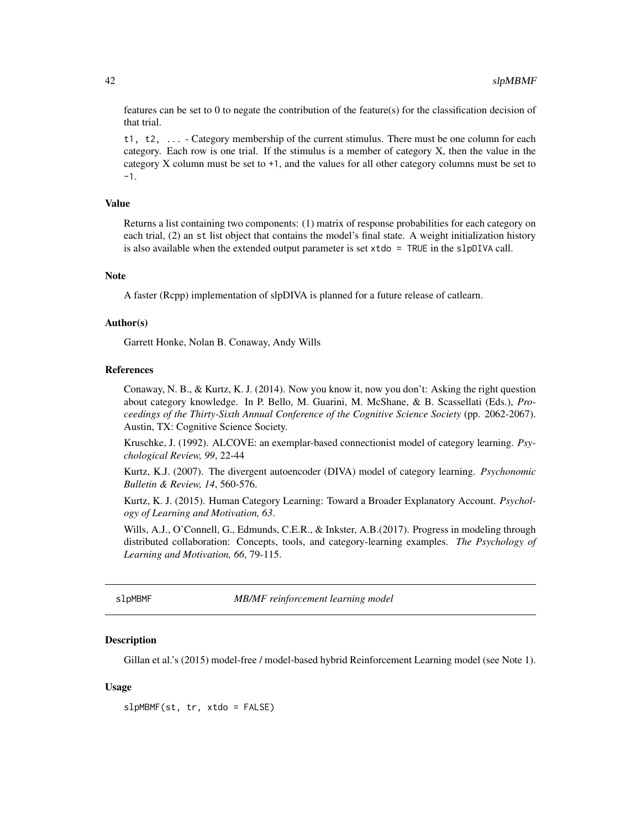features can be set to 0 to negate the contribution of the feature(s) for the classification decision of that trial.

t1, t2, ... - Category membership of the current stimulus. There must be one column for each category. Each row is one trial. If the stimulus is a member of category X, then the value in the category X column must be set to +1, and the values for all other category columns must be set to -1.

#### Value

Returns a list containing two components: (1) matrix of response probabilities for each category on each trial, (2) an st list object that contains the model's final state. A weight initialization history is also available when the extended output parameter is set  $x \cdot \text{tdo} = \text{TRUE}$  in the slpDIVA call.

#### Note

A faster (Rcpp) implementation of slpDIVA is planned for a future release of catlearn.

# Author(s)

Garrett Honke, Nolan B. Conaway, Andy Wills

#### References

Conaway, N. B., & Kurtz, K. J. (2014). Now you know it, now you don't: Asking the right question about category knowledge. In P. Bello, M. Guarini, M. McShane, & B. Scassellati (Eds.), *Proceedings of the Thirty-Sixth Annual Conference of the Cognitive Science Society* (pp. 2062-2067). Austin, TX: Cognitive Science Society.

Kruschke, J. (1992). ALCOVE: an exemplar-based connectionist model of category learning. *Psychological Review, 99*, 22-44

Kurtz, K.J. (2007). The divergent autoencoder (DIVA) model of category learning. *Psychonomic Bulletin & Review, 14*, 560-576.

Kurtz, K. J. (2015). Human Category Learning: Toward a Broader Explanatory Account. *Psychology of Learning and Motivation, 63*.

Wills, A.J., O'Connell, G., Edmunds, C.E.R., & Inkster, A.B.(2017). Progress in modeling through distributed collaboration: Concepts, tools, and category-learning examples. *The Psychology of Learning and Motivation, 66*, 79-115.

slpMBMF *MB/MF reinforcement learning model*

# **Description**

Gillan et al.'s (2015) model-free / model-based hybrid Reinforcement Learning model (see Note 1).

#### Usage

slpMBMF(st, tr, xtdo = FALSE)

<span id="page-41-0"></span>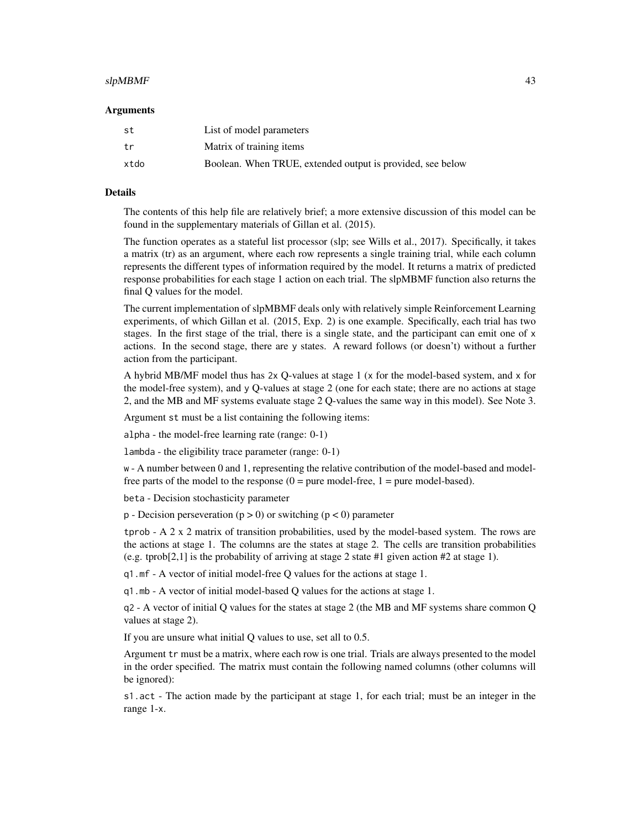#### $slpMBMF$  and the set of the set of the set of the set of the set of the set of the set of the set of the set of the set of the set of the set of the set of the set of the set of the set of the set of the set of the set of t

#### Arguments

| .st  | List of model parameters                                   |
|------|------------------------------------------------------------|
| t.r  | Matrix of training items                                   |
| xtdo | Boolean. When TRUE, extended output is provided, see below |

#### Details

The contents of this help file are relatively brief; a more extensive discussion of this model can be found in the supplementary materials of Gillan et al. (2015).

The function operates as a stateful list processor (slp; see Wills et al., 2017). Specifically, it takes a matrix (tr) as an argument, where each row represents a single training trial, while each column represents the different types of information required by the model. It returns a matrix of predicted response probabilities for each stage 1 action on each trial. The slpMBMF function also returns the final Q values for the model.

The current implementation of slpMBMF deals only with relatively simple Reinforcement Learning experiments, of which Gillan et al. (2015, Exp. 2) is one example. Specifically, each trial has two stages. In the first stage of the trial, there is a single state, and the participant can emit one of x actions. In the second stage, there are y states. A reward follows (or doesn't) without a further action from the participant.

A hybrid MB/MF model thus has 2x Q-values at stage 1 (x for the model-based system, and x for the model-free system), and y Q-values at stage 2 (one for each state; there are no actions at stage 2, and the MB and MF systems evaluate stage 2 Q-values the same way in this model). See Note 3.

Argument st must be a list containing the following items:

alpha - the model-free learning rate (range: 0-1)

lambda - the eligibility trace parameter (range: 0-1)

w - A number between 0 and 1, representing the relative contribution of the model-based and modelfree parts of the model to the response  $(0 = pure model-free, 1 = pure model-based)$ .

beta - Decision stochasticity parameter

 $p -$  Decision perseveration ( $p > 0$ ) or switching ( $p < 0$ ) parameter

tprob - A 2 x 2 matrix of transition probabilities, used by the model-based system. The rows are the actions at stage 1. The columns are the states at stage 2. The cells are transition probabilities (e.g. tprob[2,1] is the probability of arriving at stage 2 state #1 given action #2 at stage 1).

q1.mf - A vector of initial model-free Q values for the actions at stage 1.

q1.mb - A vector of initial model-based Q values for the actions at stage 1.

q2 - A vector of initial Q values for the states at stage 2 (the MB and MF systems share common Q values at stage 2).

If you are unsure what initial Q values to use, set all to 0.5.

Argument tr must be a matrix, where each row is one trial. Trials are always presented to the model in the order specified. The matrix must contain the following named columns (other columns will be ignored):

s1.act - The action made by the participant at stage 1, for each trial; must be an integer in the range 1-x.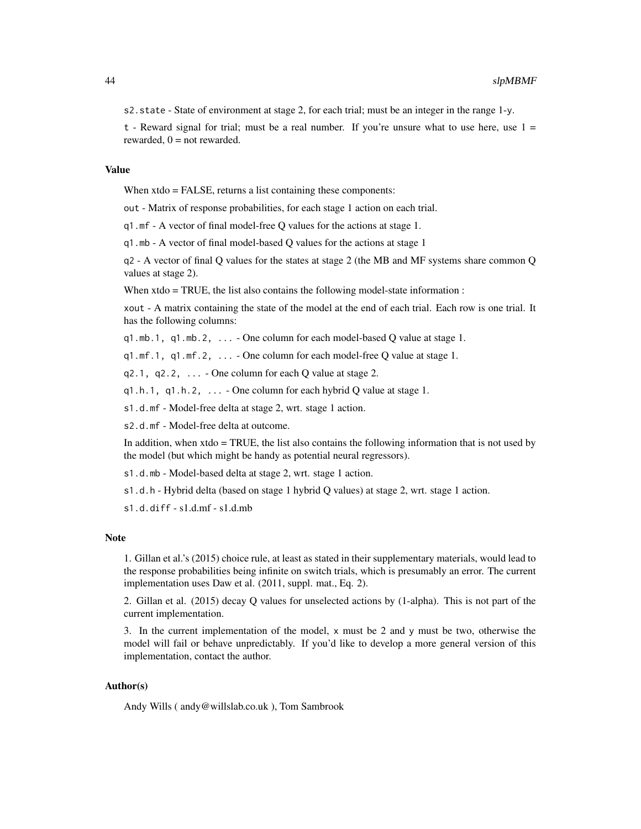s2. state - State of environment at stage 2, for each trial; must be an integer in the range 1-y.

t - Reward signal for trial; must be a real number. If you're unsure what to use here, use  $1 =$ rewarded,  $0 =$  not rewarded.

#### Value

When xtdo = FALSE, returns a list containing these components:

out - Matrix of response probabilities, for each stage 1 action on each trial.

q1.mf - A vector of final model-free Q values for the actions at stage 1.

q1.mb - A vector of final model-based Q values for the actions at stage 1

q2 - A vector of final Q values for the states at stage 2 (the MB and MF systems share common Q values at stage 2).

When xtdo = TRUE, the list also contains the following model-state information :

xout - A matrix containing the state of the model at the end of each trial. Each row is one trial. It has the following columns:

q1.mb.1, q1.mb.2, ... - One column for each model-based Q value at stage 1.

q1.mf.1, q1.mf.2, ... - One column for each model-free Q value at stage 1.

 $q2.1$ ,  $q2.2$ ,  $\ldots$  - One column for each Q value at stage 2.

 $q1.h.1$ ,  $q1.h.2$ ,  $\ldots$  - One column for each hybrid Q value at stage 1.

s1.d.mf - Model-free delta at stage 2, wrt. stage 1 action.

s2.d.mf - Model-free delta at outcome.

In addition, when xtdo = TRUE, the list also contains the following information that is not used by the model (but which might be handy as potential neural regressors).

s1.d.mb - Model-based delta at stage 2, wrt. stage 1 action.

s1.d.h - Hybrid delta (based on stage 1 hybrid Q values) at stage 2, wrt. stage 1 action.

s1.d.diff - s1.d.mf - s1.d.mb

#### Note

1. Gillan et al.'s (2015) choice rule, at least as stated in their supplementary materials, would lead to the response probabilities being infinite on switch trials, which is presumably an error. The current implementation uses Daw et al. (2011, suppl. mat., Eq. 2).

2. Gillan et al. (2015) decay Q values for unselected actions by (1-alpha). This is not part of the current implementation.

3. In the current implementation of the model,  $x$  must be 2 and  $y$  must be two, otherwise the model will fail or behave unpredictably. If you'd like to develop a more general version of this implementation, contact the author.

# Author(s)

Andy Wills ( andy@willslab.co.uk ), Tom Sambrook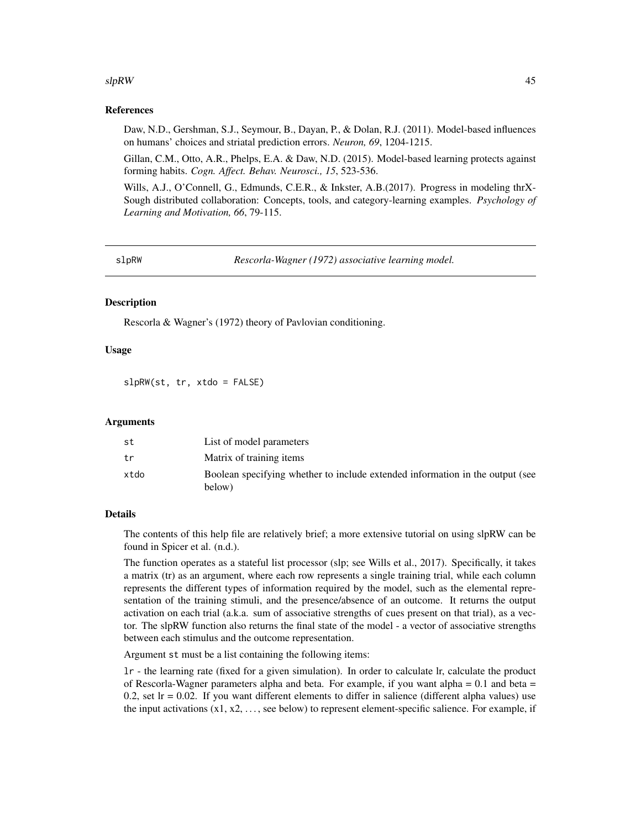#### <span id="page-44-0"></span> $slpRW$  and the set of the set of the set of the set of the set of the set of the set of the set of the set of the set of the set of the set of the set of the set of the set of the set of the set of the set of the set of th

#### References

Daw, N.D., Gershman, S.J., Seymour, B., Dayan, P., & Dolan, R.J. (2011). Model-based influences on humans' choices and striatal prediction errors. *Neuron, 69*, 1204-1215.

Gillan, C.M., Otto, A.R., Phelps, E.A. & Daw, N.D. (2015). Model-based learning protects against forming habits. *Cogn. Affect. Behav. Neurosci., 15*, 523-536.

Wills, A.J., O'Connell, G., Edmunds, C.E.R., & Inkster, A.B.(2017). Progress in modeling thrX-Sough distributed collaboration: Concepts, tools, and category-learning examples. *Psychology of Learning and Motivation, 66*, 79-115.

slpRW *Rescorla-Wagner (1972) associative learning model.*

#### Description

Rescorla & Wagner's (1972) theory of Pavlovian conditioning.

# Usage

slpRW(st, tr, xtdo = FALSE)

#### Arguments

| st   | List of model parameters                                                                |
|------|-----------------------------------------------------------------------------------------|
| tr   | Matrix of training items                                                                |
| xtdo | Boolean specifying whether to include extended information in the output (see<br>below) |

# Details

The contents of this help file are relatively brief; a more extensive tutorial on using slpRW can be found in Spicer et al. (n.d.).

The function operates as a stateful list processor (slp; see Wills et al., 2017). Specifically, it takes a matrix (tr) as an argument, where each row represents a single training trial, while each column represents the different types of information required by the model, such as the elemental representation of the training stimuli, and the presence/absence of an outcome. It returns the output activation on each trial (a.k.a. sum of associative strengths of cues present on that trial), as a vector. The slpRW function also returns the final state of the model - a vector of associative strengths between each stimulus and the outcome representation.

Argument st must be a list containing the following items:

lr - the learning rate (fixed for a given simulation). In order to calculate lr, calculate the product of Rescorla-Wagner parameters alpha and beta. For example, if you want alpha  $= 0.1$  and beta  $=$ 0.2, set  $Ir = 0.02$ . If you want different elements to differ in salience (different alpha values) use the input activations  $(x1, x2, \ldots)$ , see below) to represent element-specific salience. For example, if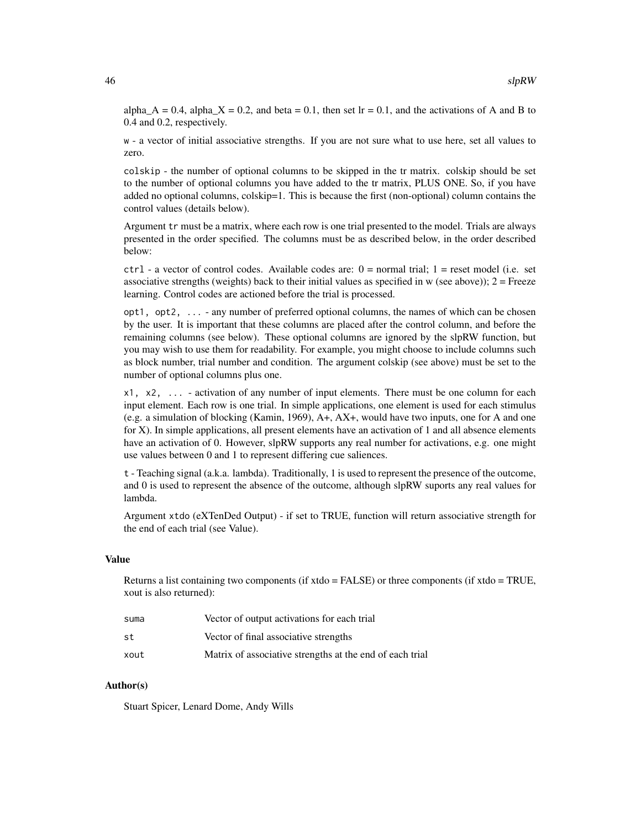alpha\_A = 0.4, alpha\_X = 0.2, and beta = 0.1, then set lr = 0.1, and the activations of A and B to 0.4 and 0.2, respectively.

w - a vector of initial associative strengths. If you are not sure what to use here, set all values to zero.

colskip - the number of optional columns to be skipped in the tr matrix. colskip should be set to the number of optional columns you have added to the tr matrix, PLUS ONE. So, if you have added no optional columns, colskip=1. This is because the first (non-optional) column contains the control values (details below).

Argument tr must be a matrix, where each row is one trial presented to the model. Trials are always presented in the order specified. The columns must be as described below, in the order described below:

ctrl - a vector of control codes. Available codes are: 0 = normal trial; 1 = reset model (i.e. set associative strengths (weights) back to their initial values as specified in w (see above));  $2 =$  Freeze learning. Control codes are actioned before the trial is processed.

opt1, opt2, ... - any number of preferred optional columns, the names of which can be chosen by the user. It is important that these columns are placed after the control column, and before the remaining columns (see below). These optional columns are ignored by the slpRW function, but you may wish to use them for readability. For example, you might choose to include columns such as block number, trial number and condition. The argument colskip (see above) must be set to the number of optional columns plus one.

x1, x2, ... - activation of any number of input elements. There must be one column for each input element. Each row is one trial. In simple applications, one element is used for each stimulus (e.g. a simulation of blocking (Kamin, 1969), A+, AX+, would have two inputs, one for A and one for X). In simple applications, all present elements have an activation of 1 and all absence elements have an activation of 0. However, slpRW supports any real number for activations, e.g. one might use values between 0 and 1 to represent differing cue saliences.

t - Teaching signal (a.k.a. lambda). Traditionally, 1 is used to represent the presence of the outcome, and 0 is used to represent the absence of the outcome, although slpRW suports any real values for lambda.

Argument xtdo (eXTenDed Output) - if set to TRUE, function will return associative strength for the end of each trial (see Value).

# Value

Returns a list containing two components (if xtdo = FALSE) or three components (if xtdo = TRUE, xout is also returned):

| suma | Vector of output activations for each trial              |
|------|----------------------------------------------------------|
| st   | Vector of final associative strengths                    |
| xout | Matrix of associative strengths at the end of each trial |

# Author(s)

Stuart Spicer, Lenard Dome, Andy Wills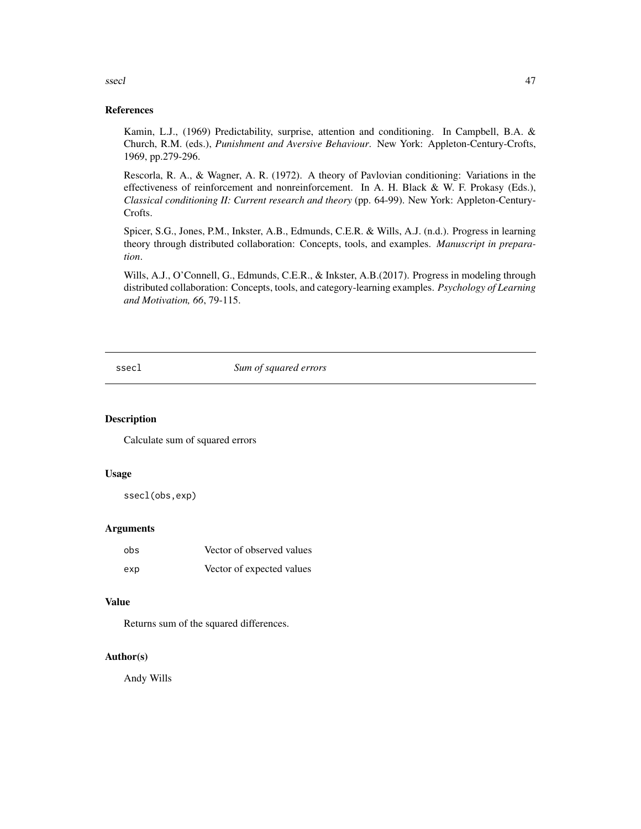<span id="page-46-0"></span>ssecl<sub>1</sub> and the second state of the second state of the second state of the second state of the second state of the second state of the second state of the second state of the second state of the second state of the secon

#### References

Kamin, L.J., (1969) Predictability, surprise, attention and conditioning. In Campbell, B.A. & Church, R.M. (eds.), *Punishment and Aversive Behaviour*. New York: Appleton-Century-Crofts, 1969, pp.279-296.

Rescorla, R. A., & Wagner, A. R. (1972). A theory of Pavlovian conditioning: Variations in the effectiveness of reinforcement and nonreinforcement. In A. H. Black & W. F. Prokasy (Eds.), *Classical conditioning II: Current research and theory* (pp. 64-99). New York: Appleton-Century-Crofts.

Spicer, S.G., Jones, P.M., Inkster, A.B., Edmunds, C.E.R. & Wills, A.J. (n.d.). Progress in learning theory through distributed collaboration: Concepts, tools, and examples. *Manuscript in preparation*.

Wills, A.J., O'Connell, G., Edmunds, C.E.R., & Inkster, A.B.(2017). Progress in modeling through distributed collaboration: Concepts, tools, and category-learning examples. *Psychology of Learning and Motivation, 66*, 79-115.

#### ssecl *Sum of squared errors*

#### Description

Calculate sum of squared errors

#### Usage

ssecl(obs,exp)

#### Arguments

| obs | Vector of observed values |
|-----|---------------------------|
| exp | Vector of expected values |

#### Value

Returns sum of the squared differences.

#### Author(s)

Andy Wills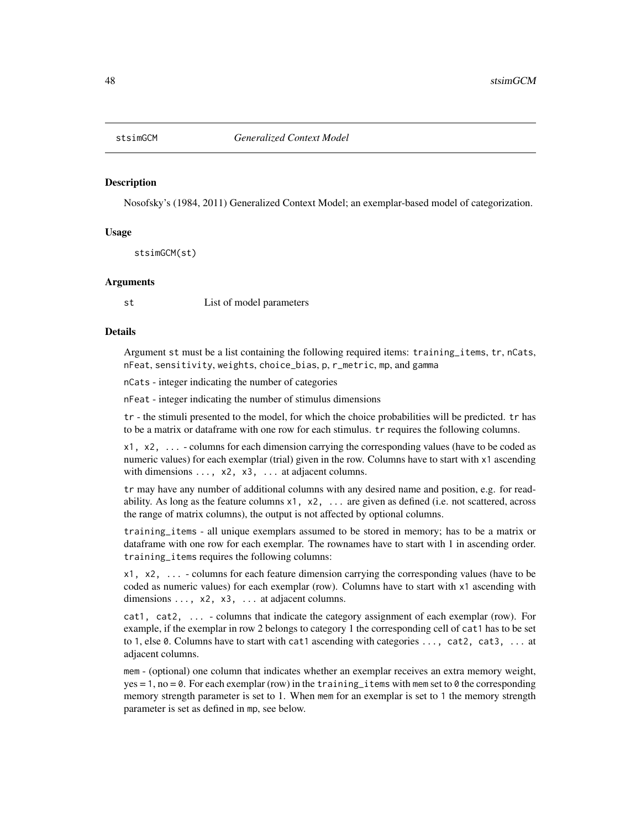<span id="page-47-0"></span>

#### Description

Nosofsky's (1984, 2011) Generalized Context Model; an exemplar-based model of categorization.

#### Usage

stsimGCM(st)

#### Arguments

st List of model parameters

#### Details

Argument st must be a list containing the following required items: training\_items, tr, nCats, nFeat, sensitivity, weights, choice\_bias, p, r\_metric, mp, and gamma

nCats - integer indicating the number of categories

nFeat - integer indicating the number of stimulus dimensions

tr - the stimuli presented to the model, for which the choice probabilities will be predicted. tr has to be a matrix or dataframe with one row for each stimulus. tr requires the following columns.

x1, x2, ... - columns for each dimension carrying the corresponding values (have to be coded as numeric values) for each exemplar (trial) given in the row. Columns have to start with x1 ascending with dimensions  $\dots$ ,  $x^2$ ,  $x^3$ ,  $\dots$  at adjacent columns.

tr may have any number of additional columns with any desired name and position, e.g. for readability. As long as the feature columns  $x1$ ,  $x2$ ,  $\ldots$  are given as defined (i.e. not scattered, across the range of matrix columns), the output is not affected by optional columns.

training\_items - all unique exemplars assumed to be stored in memory; has to be a matrix or dataframe with one row for each exemplar. The rownames have to start with 1 in ascending order. training\_items requires the following columns:

x1, x2, ... - columns for each feature dimension carrying the corresponding values (have to be coded as numeric values) for each exemplar (row). Columns have to start with x1 ascending with dimensions ..., x2, x3, ... at adjacent columns.

cat1, cat2, ... - columns that indicate the category assignment of each exemplar (row). For example, if the exemplar in row 2 belongs to category 1 the corresponding cell of cat1 has to be set to 1, else 0. Columns have to start with cat1 ascending with categories ..., cat2, cat3, ... at adjacent columns.

mem - (optional) one column that indicates whether an exemplar receives an extra memory weight, yes = 1, no = 0. For each exemplar (row) in the training\_items with mem set to 0 the corresponding memory strength parameter is set to 1. When mem for an exemplar is set to 1 the memory strength parameter is set as defined in mp, see below.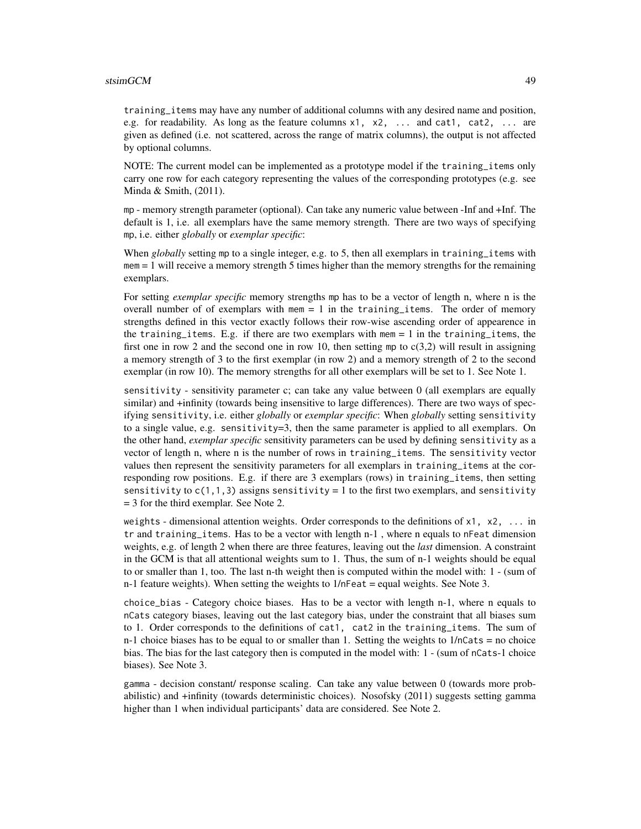#### stsimGCM 49

training\_items may have any number of additional columns with any desired name and position, e.g. for readability. As long as the feature columns x1, x2, ... and cat1, cat2, ... are given as defined (i.e. not scattered, across the range of matrix columns), the output is not affected by optional columns.

NOTE: The current model can be implemented as a prototype model if the training\_items only carry one row for each category representing the values of the corresponding prototypes (e.g. see Minda & Smith, (2011).

mp - memory strength parameter (optional). Can take any numeric value between -Inf and +Inf. The default is 1, i.e. all exemplars have the same memory strength. There are two ways of specifying mp, i.e. either *globally* or *exemplar specific*:

When *globally* setting mp to a single integer, e.g. to 5, then all exemplars in training\_items with  $m = 1$  will receive a memory strength 5 times higher than the memory strengths for the remaining exemplars.

For setting *exemplar specific* memory strengths mp has to be a vector of length n, where n is the overall number of of exemplars with mem  $= 1$  in the training items. The order of memory strengths defined in this vector exactly follows their row-wise ascending order of appearence in the training items. E.g. if there are two exemplars with mem  $= 1$  in the training items, the first one in row 2 and the second one in row 10, then setting mp to  $c(3,2)$  will result in assigning a memory strength of 3 to the first exemplar (in row 2) and a memory strength of 2 to the second exemplar (in row 10). The memory strengths for all other exemplars will be set to 1. See Note 1.

sensitivity - sensitivity parameter c; can take any value between 0 (all exemplars are equally similar) and +infinity (towards being insensitive to large differences). There are two ways of specifying sensitivity, i.e. either *globally* or *exemplar specific*: When *globally* setting sensitivity to a single value, e.g. sensitivity=3, then the same parameter is applied to all exemplars. On the other hand, *exemplar specific* sensitivity parameters can be used by defining sensitivity as a vector of length n, where n is the number of rows in training\_items. The sensitivity vector values then represent the sensitivity parameters for all exemplars in training\_items at the corresponding row positions. E.g. if there are 3 exemplars (rows) in training\_items, then setting sensitivity to  $c(1,1,3)$  assigns sensitivity = 1 to the first two exemplars, and sensitivity = 3 for the third exemplar. See Note 2.

weights - dimensional attention weights. Order corresponds to the definitions of  $x1$ ,  $x2$ , ... in tr and training\_items. Has to be a vector with length n-1 , where n equals to nFeat dimension weights, e.g. of length 2 when there are three features, leaving out the *last* dimension. A constraint in the GCM is that all attentional weights sum to 1. Thus, the sum of n-1 weights should be equal to or smaller than 1, too. The last n-th weight then is computed within the model with: 1 - (sum of n-1 feature weights). When setting the weights to  $1/n$  Feat = equal weights. See Note 3.

choice\_bias - Category choice biases. Has to be a vector with length n-1, where n equals to nCats category biases, leaving out the last category bias, under the constraint that all biases sum to 1. Order corresponds to the definitions of cat1, cat2 in the training\_items. The sum of  $n-1$  choice biases has to be equal to or smaller than 1. Setting the weights to  $1/nC$ ats = no choice bias. The bias for the last category then is computed in the model with: 1 - (sum of nCats-1 choice biases). See Note 3.

gamma - decision constant/ response scaling. Can take any value between 0 (towards more probabilistic) and +infinity (towards deterministic choices). Nosofsky (2011) suggests setting gamma higher than 1 when individual participants' data are considered. See Note 2.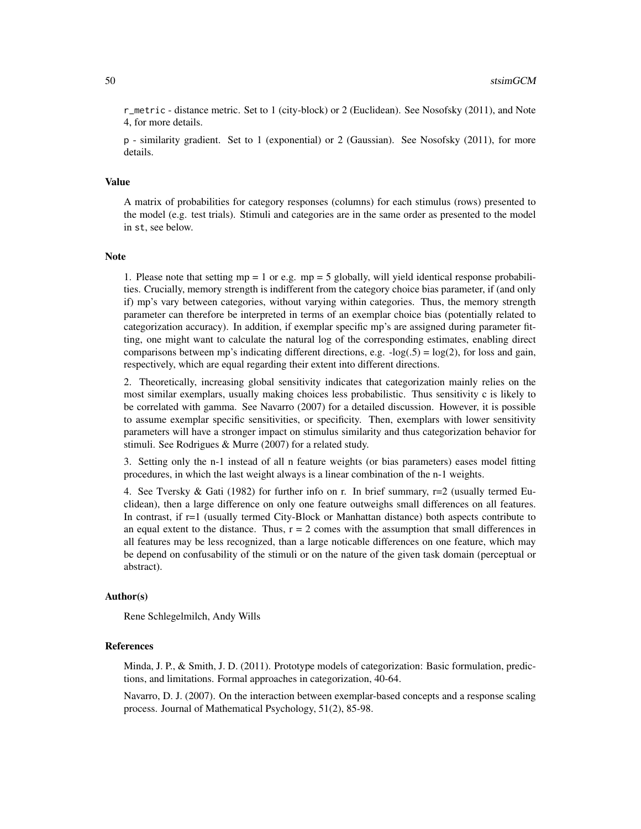r\_metric - distance metric. Set to 1 (city-block) or 2 (Euclidean). See Nosofsky (2011), and Note 4, for more details.

p - similarity gradient. Set to 1 (exponential) or 2 (Gaussian). See Nosofsky (2011), for more details.

#### Value

A matrix of probabilities for category responses (columns) for each stimulus (rows) presented to the model (e.g. test trials). Stimuli and categories are in the same order as presented to the model in st, see below.

#### Note

1. Please note that setting  $mp = 1$  or e.g.  $mp = 5$  globally, will yield identical response probabilities. Crucially, memory strength is indifferent from the category choice bias parameter, if (and only if) mp's vary between categories, without varying within categories. Thus, the memory strength parameter can therefore be interpreted in terms of an exemplar choice bias (potentially related to categorization accuracy). In addition, if exemplar specific mp's are assigned during parameter fitting, one might want to calculate the natural log of the corresponding estimates, enabling direct comparisons between mp's indicating different directions, e.g.  $-log(.5) = log(2)$ , for loss and gain, respectively, which are equal regarding their extent into different directions.

2. Theoretically, increasing global sensitivity indicates that categorization mainly relies on the most similar exemplars, usually making choices less probabilistic. Thus sensitivity c is likely to be correlated with gamma. See Navarro (2007) for a detailed discussion. However, it is possible to assume exemplar specific sensitivities, or specificity. Then, exemplars with lower sensitivity parameters will have a stronger impact on stimulus similarity and thus categorization behavior for stimuli. See Rodrigues & Murre (2007) for a related study.

3. Setting only the n-1 instead of all n feature weights (or bias parameters) eases model fitting procedures, in which the last weight always is a linear combination of the n-1 weights.

4. See Tversky & Gati (1982) for further info on r. In brief summary,  $r=2$  (usually termed Euclidean), then a large difference on only one feature outweighs small differences on all features. In contrast, if r=1 (usually termed City-Block or Manhattan distance) both aspects contribute to an equal extent to the distance. Thus,  $r = 2$  comes with the assumption that small differences in all features may be less recognized, than a large noticable differences on one feature, which may be depend on confusability of the stimuli or on the nature of the given task domain (perceptual or abstract).

#### Author(s)

Rene Schlegelmilch, Andy Wills

#### References

Minda, J. P., & Smith, J. D. (2011). Prototype models of categorization: Basic formulation, predictions, and limitations. Formal approaches in categorization, 40-64.

Navarro, D. J. (2007). On the interaction between exemplar-based concepts and a response scaling process. Journal of Mathematical Psychology, 51(2), 85-98.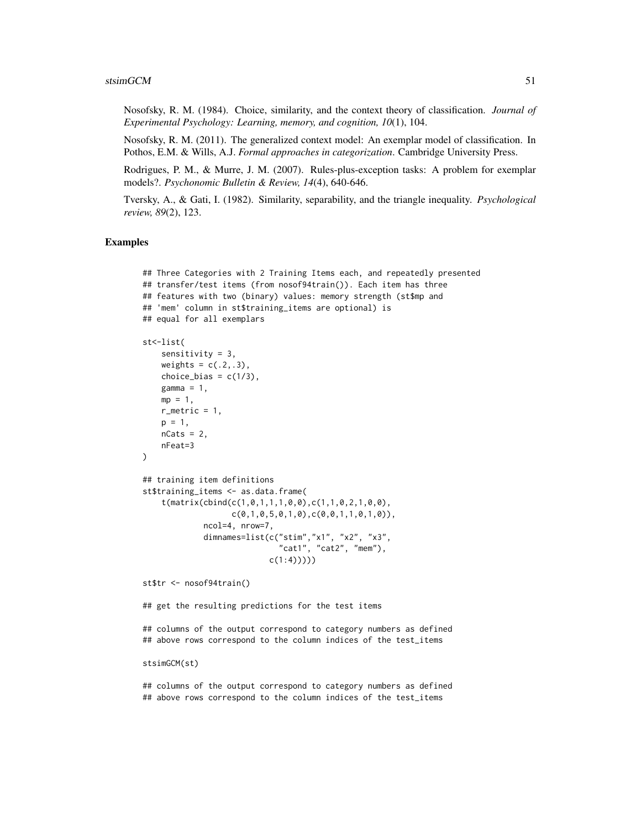Nosofsky, R. M. (1984). Choice, similarity, and the context theory of classification. *Journal of Experimental Psychology: Learning, memory, and cognition, 10*(1), 104.

Nosofsky, R. M. (2011). The generalized context model: An exemplar model of classification. In Pothos, E.M. & Wills, A.J. *Formal approaches in categorization*. Cambridge University Press.

Rodrigues, P. M., & Murre, J. M. (2007). Rules-plus-exception tasks: A problem for exemplar models?. *Psychonomic Bulletin & Review, 14*(4), 640-646.

Tversky, A., & Gati, I. (1982). Similarity, separability, and the triangle inequality. *Psychological review, 89*(2), 123.

#### Examples

```
## Three Categories with 2 Training Items each, and repeatedly presented
## transfer/test items (from nosof94train()). Each item has three
## features with two (binary) values: memory strength (st$mp and
## 'mem' column in st$training_items are optional) is
## equal for all exemplars
st<-list(
    sensitivity = 3,
    weights = c(.2,.3),
   choice_bias = c(1/3),
   gamma = 1,
   mp = 1,
   r_metric = 1,
    p = 1,
    nCats = 2,
    nFeat=3
\lambda## training item definitions
st$training_items <- as.data.frame(
    t(matrix(cbind(c(1,0,1,1,1,0,0),c(1,1,0,2,1,0,0),
                   c(0,1,0,5,0,1,0), c(0,0,1,1,0,1,0)),ncol=4, nrow=7,
             dimnames=list(c("stim","x1", "x2", "x3",
                             "cat1", "cat2", "mem"),
                           c(1:4))))
st$tr <- nosof94train()
```
## get the resulting predictions for the test items

## columns of the output correspond to category numbers as defined ## above rows correspond to the column indices of the test\_items

stsimGCM(st)

## columns of the output correspond to category numbers as defined ## above rows correspond to the column indices of the test\_items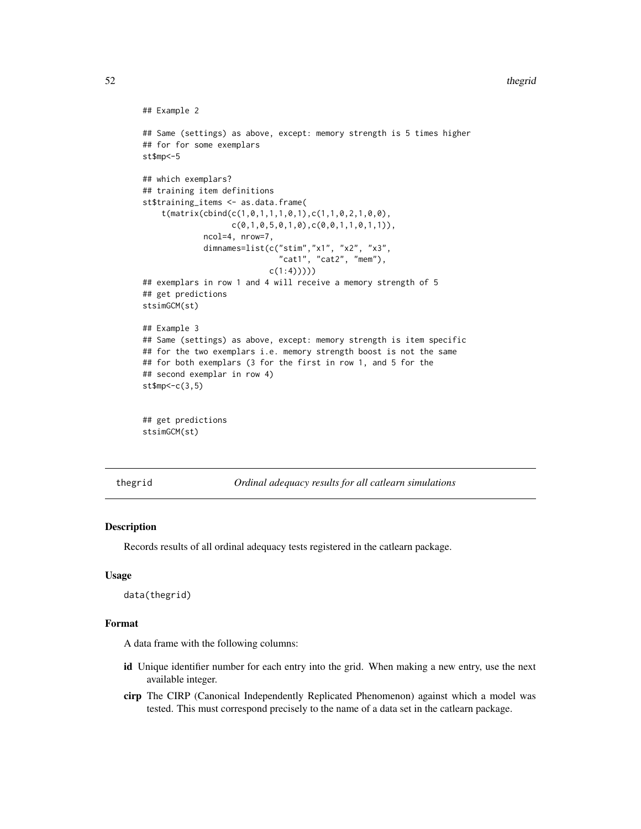#### <span id="page-51-0"></span> $52$  thegrid

```
## Example 2
## Same (settings) as above, except: memory strength is 5 times higher
## for for some exemplars
st$mp<-5
## which exemplars?
## training item definitions
st$training_items <- as.data.frame(
    t(matrix(cbind(c(1,0,1,1,1,0,1),c(1,1,0,2,1,0,0),
                   c(0,1,0,5,0,1,0), c(0,0,1,1,0,1,1)),ncol=4, nrow=7,
             dimnames=list(c("stim","x1", "x2", "x3",
                             "cat1", "cat2", "mem"),
                           c(1:4)))))
## exemplars in row 1 and 4 will receive a memory strength of 5
## get predictions
stsimGCM(st)
## Example 3
## Same (settings) as above, except: memory strength is item specific
## for the two exemplars i.e. memory strength boost is not the same
## for both exemplars (3 for the first in row 1, and 5 for the
## second exemplar in row 4)
st$mp<-c(3,5)
## get predictions
stsimGCM(st)
```
thegrid *Ordinal adequacy results for all catlearn simulations*

#### Description

Records results of all ordinal adequacy tests registered in the catlearn package.

#### Usage

data(thegrid)

#### Format

A data frame with the following columns:

- id Unique identifier number for each entry into the grid. When making a new entry, use the next available integer.
- cirp The CIRP (Canonical Independently Replicated Phenomenon) against which a model was tested. This must correspond precisely to the name of a data set in the catlearn package.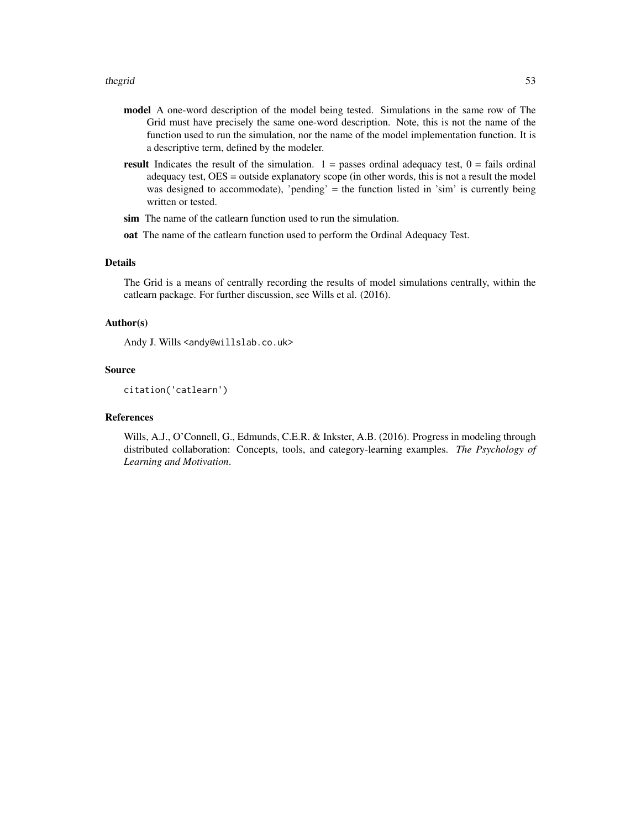- model A one-word description of the model being tested. Simulations in the same row of The Grid must have precisely the same one-word description. Note, this is not the name of the function used to run the simulation, nor the name of the model implementation function. It is a descriptive term, defined by the modeler.
- **result** Indicates the result of the simulation.  $1 =$  passes ordinal adequacy test,  $0 =$  fails ordinal adequacy test, OES = outside explanatory scope (in other words, this is not a result the model was designed to accommodate), 'pending' = the function listed in 'sim' is currently being written or tested.
- sim The name of the catlearn function used to run the simulation.
- oat The name of the catlearn function used to perform the Ordinal Adequacy Test.

#### Details

The Grid is a means of centrally recording the results of model simulations centrally, within the catlearn package. For further discussion, see Wills et al. (2016).

#### Author(s)

Andy J. Wills <andy@willslab.co.uk>

#### Source

citation('catlearn')

#### References

Wills, A.J., O'Connell, G., Edmunds, C.E.R. & Inkster, A.B. (2016). Progress in modeling through distributed collaboration: Concepts, tools, and category-learning examples. *The Psychology of Learning and Motivation*.